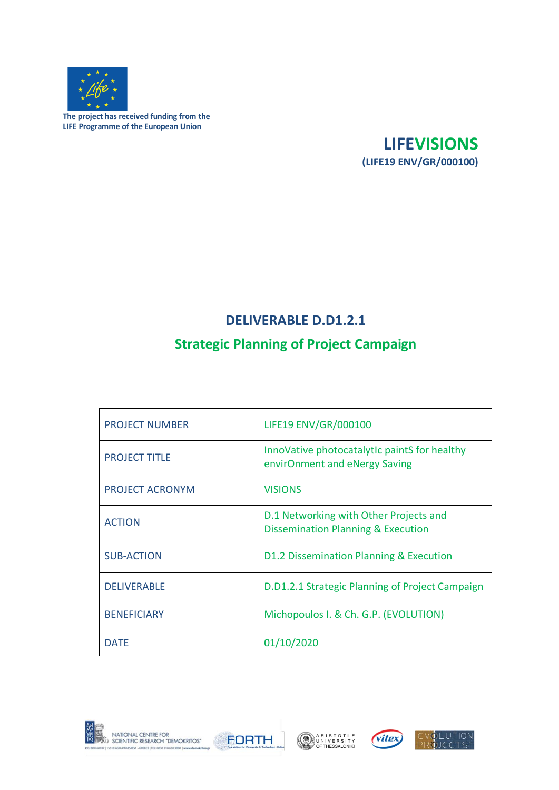

**The project has received funding from the LIFE Programme of the European Union**

# **LIFEVISIONS (LIFE19 ENV/GR/000100)**

# **DELIVERABLE D.D1.2.1**

# **Strategic Planning of Project Campaign**

| <b>PROJECT NUMBER</b>  | LIFE19 ENV/GR/000100                                                                    |
|------------------------|-----------------------------------------------------------------------------------------|
| <b>PROJECT TITLE</b>   | InnoVative photocatalytic paintS for healthy<br>envirOnment and eNergy Saving           |
| <b>PROJECT ACRONYM</b> | <b>VISIONS</b>                                                                          |
| <b>ACTION</b>          | D.1 Networking with Other Projects and<br><b>Dissemination Planning &amp; Execution</b> |
| <b>SUB-ACTION</b>      | D1.2 Dissemination Planning & Execution                                                 |
| <b>DELIVERABLE</b>     | D.D1.2.1 Strategic Planning of Project Campaign                                         |
| <b>BENEFICIARY</b>     | Michopoulos I. & Ch. G.P. (EVOLUTION)                                                   |
| <b>DATE</b>            | 01/10/2020                                                                              |









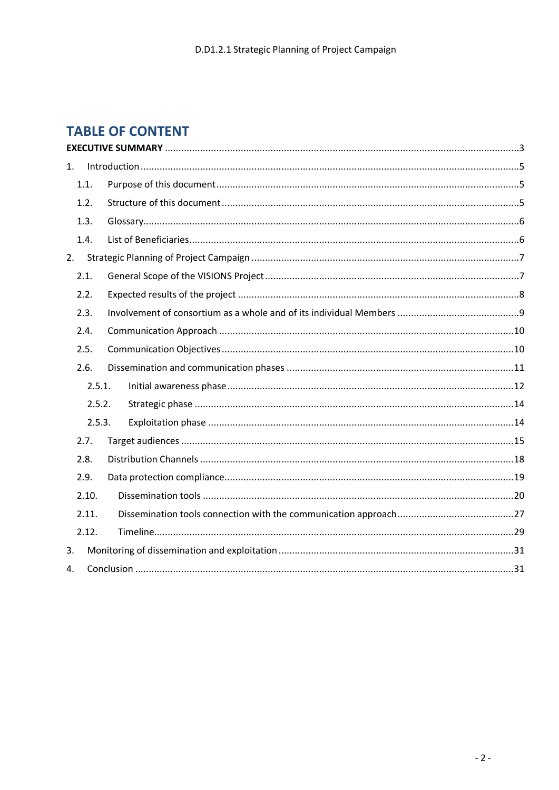# **TABLE OF CONTENT**

| 1. |        |  |  |
|----|--------|--|--|
|    | 1.1.   |  |  |
|    | 1.2.   |  |  |
|    | 1.3.   |  |  |
|    | 1.4.   |  |  |
| 2. |        |  |  |
|    | 2.1.   |  |  |
|    | 2.2.   |  |  |
|    | 2.3.   |  |  |
|    | 2.4.   |  |  |
|    | 2.5.   |  |  |
|    | 2.6.   |  |  |
|    | 2.5.1. |  |  |
|    | 2.5.2. |  |  |
|    | 2.5.3. |  |  |
|    | 2.7.   |  |  |
|    | 2.8.   |  |  |
|    | 2.9.   |  |  |
|    | 2.10.  |  |  |
|    | 2.11.  |  |  |
|    | 2.12.  |  |  |
| 3. |        |  |  |
| 4. |        |  |  |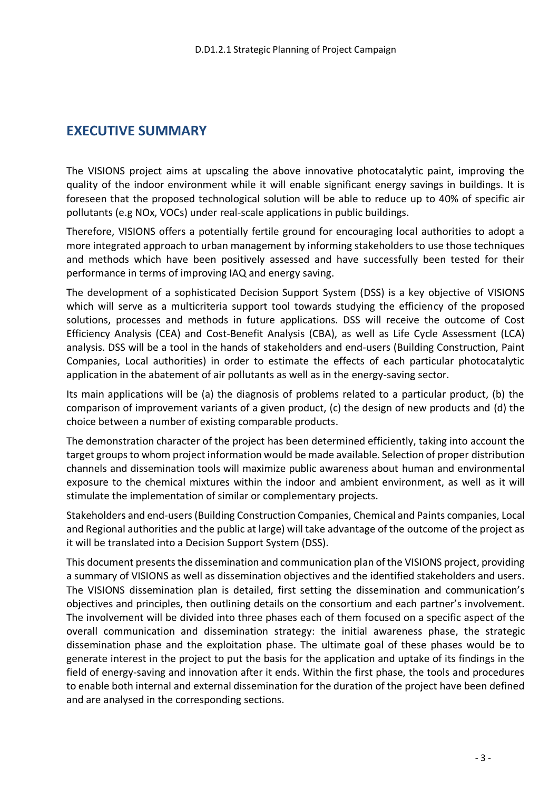### <span id="page-2-0"></span>**EXECUTIVE SUMMARY**

The VISIONS project aims at upscaling the above innovative photocatalytic paint, improving the quality of the indoor environment while it will enable significant energy savings in buildings. It is foreseen that the proposed technological solution will be able to reduce up to 40% of specific air pollutants (e.g NOx, VOCs) under real-scale applications in public buildings.

Therefore, VISIONS offers a potentially fertile ground for encouraging local authorities to adopt a more integrated approach to urban management by informing stakeholders to use those techniques and methods which have been positively assessed and have successfully been tested for their performance in terms of improving IAQ and energy saving.

The development of a sophisticated Decision Support System (DSS) is a key objective of VISIONS which will serve as a multicriteria support tool towards studying the efficiency of the proposed solutions, processes and methods in future applications. DSS will receive the outcome of Cost Efficiency Analysis (CEA) and Cost-Benefit Analysis (CBA), as well as Life Cycle Assessment (LCA) analysis. DSS will be a tool in the hands of stakeholders and end-users (Building Construction, Paint Companies, Local authorities) in order to estimate the effects of each particular photocatalytic application in the abatement of air pollutants as well as in the energy-saving sector.

Its main applications will be (a) the diagnosis of problems related to a particular product, (b) the comparison of improvement variants of a given product, (c) the design of new products and (d) the choice between a number of existing comparable products.

The demonstration character of the project has been determined efficiently, taking into account the target groups to whom project information would be made available. Selection of proper distribution channels and dissemination tools will maximize public awareness about human and environmental exposure to the chemical mixtures within the indoor and ambient environment, as well as it will stimulate the implementation of similar or complementary projects.

Stakeholders and end-users (Building Construction Companies, Chemical and Paints companies, Local and Regional authorities and the public at large) will take advantage of the outcome of the project as it will be translated into a Decision Support System (DSS).

This document presents the dissemination and communication plan of the VISIONS project, providing a summary of VISIONS as well as dissemination objectives and the identified stakeholders and users. The VISIONS dissemination plan is detailed, first setting the dissemination and communication's objectives and principles, then outlining details on the consortium and each partner's involvement. The involvement will be divided into three phases each of them focused on a specific aspect of the overall communication and dissemination strategy: the initial awareness phase, the strategic dissemination phase and the exploitation phase. The ultimate goal of these phases would be to generate interest in the project to put the basis for the application and uptake of its findings in the field of energy-saving and innovation after it ends. Within the first phase, the tools and procedures to enable both internal and external dissemination for the duration of the project have been defined and are analysed in the corresponding sections.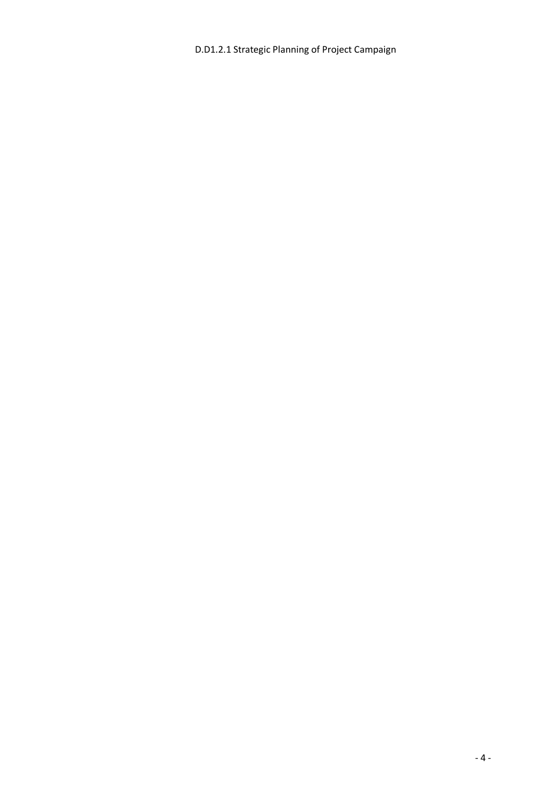D.D1.2.1 Strategic Planning of Project Campaign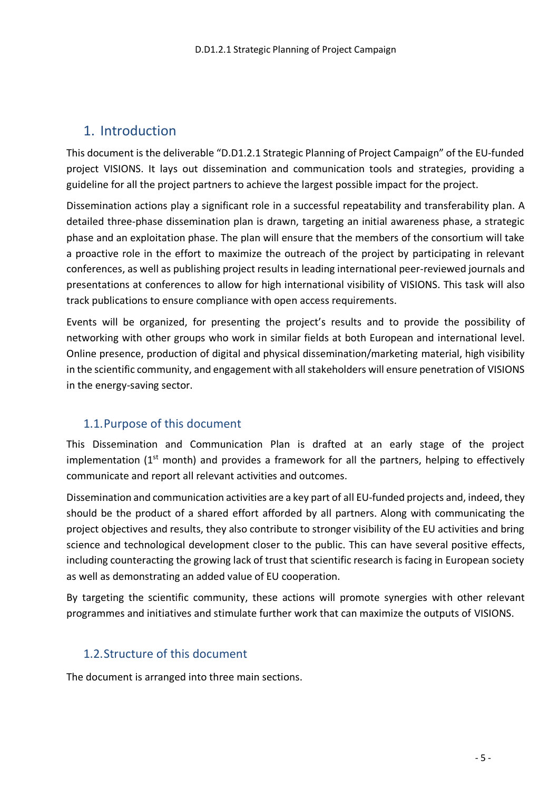# <span id="page-4-0"></span>1. Introduction

This document is the deliverable "D.D1.2.1 Strategic Planning of Project Campaign" of the EU‐funded project VISIONS. It lays out dissemination and communication tools and strategies, providing a guideline for all the project partners to achieve the largest possible impact for the project.

Dissemination actions play a significant role in a successful repeatability and transferability plan. A detailed three‐phase dissemination plan is drawn, targeting an initial awareness phase, a strategic phase and an exploitation phase. The plan will ensure that the members of the consortium will take a proactive role in the effort to maximize the outreach of the project by participating in relevant conferences, as well as publishing project results in leading international peer-reviewed journals and presentations at conferences to allow for high international visibility of VISIONS. This task will also track publications to ensure compliance with open access requirements.

Events will be organized, for presenting the project's results and to provide the possibility of networking with other groups who work in similar fields at both European and international level. Online presence, production of digital and physical dissemination/marketing material, high visibility in the scientific community, and engagement with all stakeholders will ensure penetration of VISIONS in the energy-saving sector.

### <span id="page-4-1"></span>1.1.Purpose of this document

This Dissemination and Communication Plan is drafted at an early stage of the project implementation ( $1<sup>st</sup>$  month) and provides a framework for all the partners, helping to effectively communicate and report all relevant activities and outcomes.

Dissemination and communication activities are a key part of all EU‐funded projects and, indeed, they should be the product of a shared effort afforded by all partners. Along with communicating the project objectives and results, they also contribute to stronger visibility of the EU activities and bring science and technological development closer to the public. This can have several positive effects, including counteracting the growing lack of trust that scientific research is facing in European society as well as demonstrating an added value of EU cooperation.

By targeting the scientific community, these actions will promote synergies with other relevant programmes and initiatives and stimulate further work that can maximize the outputs of VISIONS.

### <span id="page-4-2"></span>1.2. Structure of this document

The document is arranged into three main sections.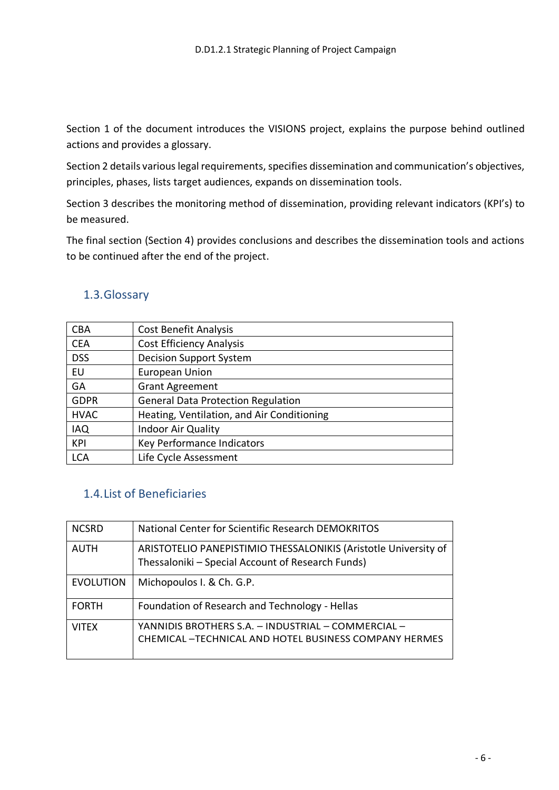Section 1 of the document introduces the VISIONS project, explains the purpose behind outlined actions and provides a glossary.

Section 2 details various legal requirements, specifies dissemination and communication's objectives, principles, phases, lists target audiences, expands on dissemination tools.

Section 3 describes the monitoring method of dissemination, providing relevant indicators (KPI's) to be measured.

The final section (Section 4) provides conclusions and describes the dissemination tools and actions to be continued after the end of the project.

### <span id="page-5-0"></span>1.3.Glossary

| <b>CBA</b>  | <b>Cost Benefit Analysis</b>               |
|-------------|--------------------------------------------|
| <b>CEA</b>  | <b>Cost Efficiency Analysis</b>            |
| <b>DSS</b>  | <b>Decision Support System</b>             |
| EU          | <b>European Union</b>                      |
| GA          | <b>Grant Agreement</b>                     |
| <b>GDPR</b> | <b>General Data Protection Regulation</b>  |
| <b>HVAC</b> | Heating, Ventilation, and Air Conditioning |
| <b>IAQ</b>  | Indoor Air Quality                         |
| KPI         | Key Performance Indicators                 |
| <b>LCA</b>  | Life Cycle Assessment                      |

#### <span id="page-5-1"></span>1.4.List of Beneficiaries

| <b>NCSRD</b>     | National Center for Scientific Research DEMOKRITOS                                                                   |
|------------------|----------------------------------------------------------------------------------------------------------------------|
| <b>AUTH</b>      | ARISTOTELIO PANEPISTIMIO THESSALONIKIS (Aristotle University of<br>Thessaloniki - Special Account of Research Funds) |
| <b>EVOLUTION</b> | Michopoulos I. & Ch. G.P.                                                                                            |
| <b>FORTH</b>     | Foundation of Research and Technology - Hellas                                                                       |
| <b>VITEX</b>     | YANNIDIS BROTHERS S.A. - INDUSTRIAL - COMMERCIAL -<br><b>CHEMICAL-TECHNICAL AND HOTEL BUSINESS COMPANY HERMES</b>    |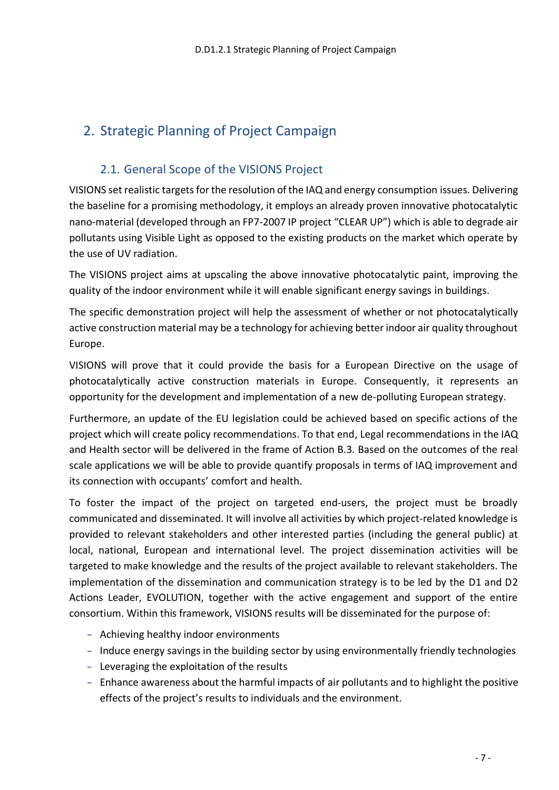# <span id="page-6-0"></span>2. Strategic Planning of Project Campaign

### 2.1. General Scope of the VISIONS Project

<span id="page-6-1"></span>VISIONS set realistic targets for the resolution of the IAQ and energy consumption issues. Delivering the baseline for a promising methodology, it employs an already proven innovative photocatalytic nano-material (developed through an FP7-2007 IP project "CLEAR UP") which is able to degrade air pollutants using Visible Light as opposed to the existing products on the market which operate by the use of UV radiation.

The VISIONS project aims at upscaling the above innovative photocatalytic paint, improving the quality of the indoor environment while it will enable significant energy savings in buildings.

The specific demonstration project will help the assessment of whether or not photocatalytically active construction material may be a technology for achieving better indoor air quality throughout Europe.

VISIONS will prove that it could provide the basis for a European Directive on the usage of photocatalytically active construction materials in Europe. Consequently, it represents an opportunity for the development and implementation of a new de-polluting European strategy.

Furthermore, an update of the EU legislation could be achieved based on specific actions of the project which will create policy recommendations. To that end, Legal recommendations in the IAQ and Health sector will be delivered in the frame of Action B.3. Based on the outcomes of the real scale applications we will be able to provide quantify proposals in terms of IAQ improvement and its connection with occupants' comfort and health.

To foster the impact of the project on targeted end‐users, the project must be broadly communicated and disseminated. It will involve all activities by which project‐related knowledge is provided to relevant stakeholders and other interested parties (including the general public) at local, national, European and international level. The project dissemination activities will be targeted to make knowledge and the results of the project available to relevant stakeholders. The implementation of the dissemination and communication strategy is to be led by the D1 and D2 Actions Leader, EVOLUTION, together with the active engagement and support of the entire consortium. Within this framework, VISIONS results will be disseminated for the purpose of:

- Achieving healthy indoor environments
- Induce energy savings in the building sector by using environmentally friendly technologies
- Leveraging the exploitation of the results
- Enhance awareness about the harmful impacts of air pollutants and to highlight the positive effects of the project's results to individuals and the environment.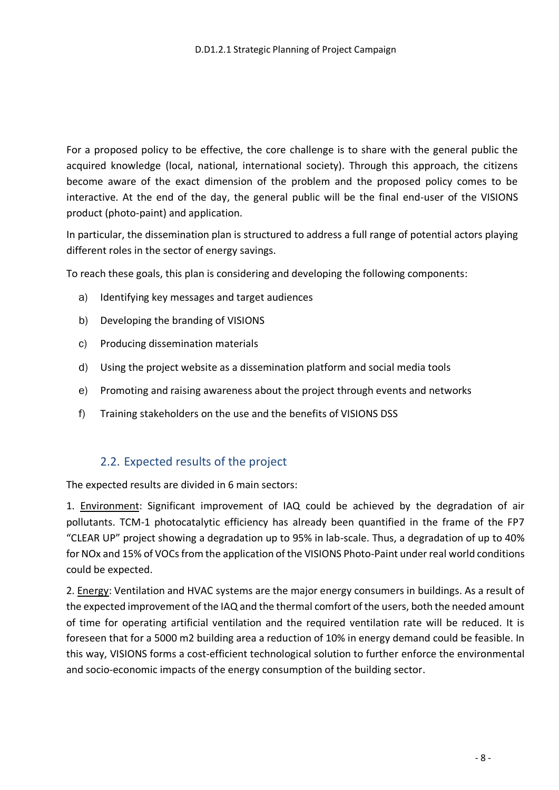For a proposed policy to be effective, the core challenge is to share with the general public the acquired knowledge (local, national, international society). Through this approach, the citizens become aware of the exact dimension of the problem and the proposed policy comes to be interactive. At the end of the day, the general public will be the final end-user of the VISIONS product (photo-paint) and application.

In particular, the dissemination plan is structured to address a full range of potential actors playing different roles in the sector of energy savings.

To reach these goals, this plan is considering and developing the following components:

- a) Identifying key messages and target audiences
- b) Developing the branding of VISIONS
- c) Producing dissemination materials
- d) Using the project website as a dissemination platform and social media tools
- e) Promoting and raising awareness about the project through events and networks
- f) Training stakeholders on the use and the benefits of VISIONS DSS

#### 2.2. Expected results of the project

<span id="page-7-0"></span>The expected results are divided in 6 main sectors:

1. Environment: Significant improvement of IAQ could be achieved by the degradation of air pollutants. TCM-1 photocatalytic efficiency has already been quantified in the frame of the FP7 "CLEAR UP" project showing a degradation up to 95% in lab-scale. Thus, a degradation of up to 40% for NOx and 15% of VOCs from the application of the VISIONS Photo-Paint under real world conditions could be expected.

2. Energy: Ventilation and HVAC systems are the major energy consumers in buildings. As a result of the expected improvement of the IAQ and the thermal comfort of the users, both the needed amount of time for operating artificial ventilation and the required ventilation rate will be reduced. It is foreseen that for a 5000 m2 building area a reduction of 10% in energy demand could be feasible. In this way, VISIONS forms a cost-efficient technological solution to further enforce the environmental and socio-economic impacts of the energy consumption of the building sector.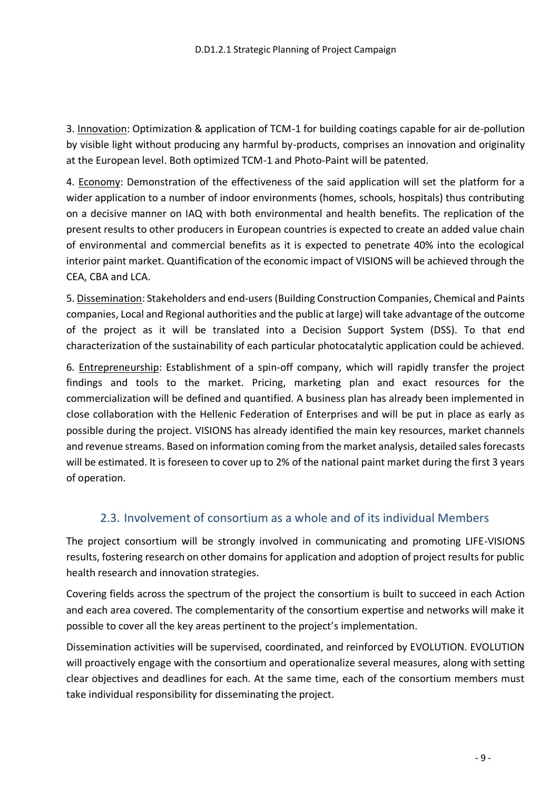3. Innovation: Optimization & application of TCM-1 for building coatings capable for air de-pollution by visible light without producing any harmful by-products, comprises an innovation and originality at the European level. Both optimized TCM-1 and Photo-Paint will be patented.

4. Economy: Demonstration of the effectiveness of the said application will set the platform for a wider application to a number of indoor environments (homes, schools, hospitals) thus contributing on a decisive manner on IAQ with both environmental and health benefits. The replication of the present results to other producers in European countries is expected to create an added value chain of environmental and commercial benefits as it is expected to penetrate 40% into the ecological interior paint market. Quantification of the economic impact of VISIONS will be achieved through the CEA, CBA and LCA.

5. Dissemination: Stakeholders and end-users (Building Construction Companies, Chemical and Paints companies, Local and Regional authorities and the public at large) will take advantage of the outcome of the project as it will be translated into a Decision Support System (DSS). To that end characterization of the sustainability of each particular photocatalytic application could be achieved.

6. Entrepreneurship: Establishment of a spin-off company, which will rapidly transfer the project findings and tools to the market. Pricing, marketing plan and exact resources for the commercialization will be defined and quantified. A business plan has already been implemented in close collaboration with the Hellenic Federation of Enterprises and will be put in place as early as possible during the project. VISIONS has already identified the main key resources, market channels and revenue streams. Based on information coming from the market analysis, detailed sales forecasts will be estimated. It is foreseen to cover up to 2% of the national paint market during the first 3 years of operation.

### 2.3. Involvement of consortium as a whole and of its individual Members

<span id="page-8-0"></span>The project consortium will be strongly involved in communicating and promoting LIFE-VISIONS results, fostering research on other domains for application and adoption of project results for public health research and innovation strategies.

Covering fields across the spectrum of the project the consortium is built to succeed in each Action and each area covered. The complementarity of the consortium expertise and networks will make it possible to cover all the key areas pertinent to the project's implementation.

Dissemination activities will be supervised, coordinated, and reinforced by EVOLUTION. EVOLUTION will proactively engage with the consortium and operationalize several measures, along with setting clear objectives and deadlines for each. At the same time, each of the consortium members must take individual responsibility for disseminating the project.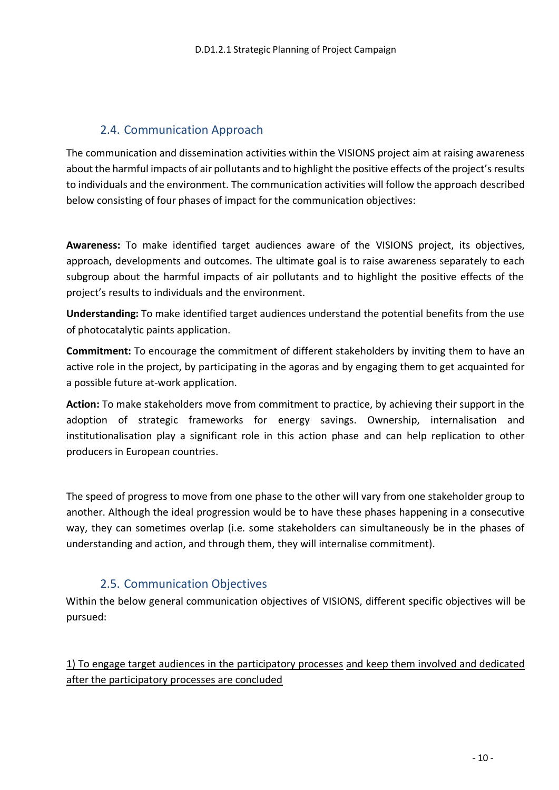### 2.4. Communication Approach

<span id="page-9-0"></span>The communication and dissemination activities within the VISIONS project aim at raising awareness about the harmful impacts of air pollutants and to highlight the positive effects of the project's results to individuals and the environment. The communication activities will follow the approach described below consisting of four phases of impact for the communication objectives:

**Awareness:** To make identified target audiences aware of the VISIONS project, its objectives, approach, developments and outcomes. The ultimate goal is to raise awareness separately to each subgroup about the harmful impacts of air pollutants and to highlight the positive effects of the project's results to individuals and the environment.

**Understanding:** To make identified target audiences understand the potential benefits from the use of photocatalytic paints application.

**Commitment:** To encourage the commitment of different stakeholders by inviting them to have an active role in the project, by participating in the agoras and by engaging them to get acquainted for a possible future at-work application.

**Action:** To make stakeholders move from commitment to practice, by achieving their support in the adoption of strategic frameworks for energy savings. Ownership, internalisation and institutionalisation play a significant role in this action phase and can help replication to other producers in European countries.

The speed of progress to move from one phase to the other will vary from one stakeholder group to another. Although the ideal progression would be to have these phases happening in a consecutive way, they can sometimes overlap (i.e. some stakeholders can simultaneously be in the phases of understanding and action, and through them, they will internalise commitment).

### 2.5. Communication Objectives

<span id="page-9-1"></span>Within the below general communication objectives of VISIONS, different specific objectives will be pursued:

1) To engage target audiences in the participatory processes and keep them involved and dedicated after the participatory processes are concluded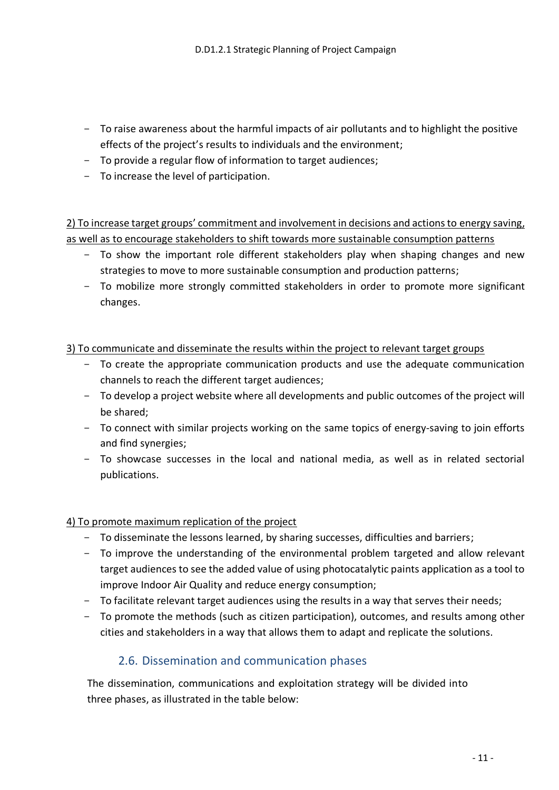- To raise awareness about the harmful impacts of air pollutants and to highlight the positive effects of the project's results to individuals and the environment;
- To provide a regular flow of information to target audiences;
- To increase the level of participation.

2) To increase target groups' commitment and involvement in decisions and actions to energy saving, as well as to encourage stakeholders to shift towards more sustainable consumption patterns

- To show the important role different stakeholders play when shaping changes and new strategies to move to more sustainable consumption and production patterns;
- To mobilize more strongly committed stakeholders in order to promote more significant changes.

#### 3) To communicate and disseminate the results within the project to relevant target groups

- To create the appropriate communication products and use the adequate communication channels to reach the different target audiences;
- To develop a project website where all developments and public outcomes of the project will be shared;
- To connect with similar projects working on the same topics of energy-saving to join efforts and find synergies;
- To showcase successes in the local and national media, as well as in related sectorial publications.

#### 4) To promote maximum replication of the project

- To disseminate the lessons learned, by sharing successes, difficulties and barriers;
- To improve the understanding of the environmental problem targeted and allow relevant target audiences to see the added value of using photocatalytic paints application as a tool to improve Indoor Air Quality and reduce energy consumption;
- To facilitate relevant target audiences using the results in a way that serves their needs;
- To promote the methods (such as citizen participation), outcomes, and results among other cities and stakeholders in a way that allows them to adapt and replicate the solutions.

#### 2.6. Dissemination and communication phases

<span id="page-10-0"></span>The dissemination, communications and exploitation strategy will be divided into three phases, as illustrated in the table below: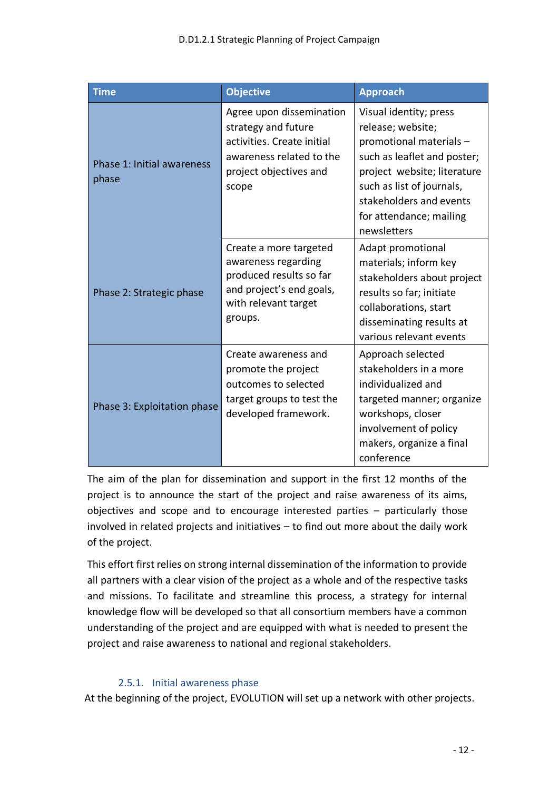| <b>Time</b>                                | <b>Objective</b>                                                                                                                             | <b>Approach</b>                                                                                                                                                                                                                        |
|--------------------------------------------|----------------------------------------------------------------------------------------------------------------------------------------------|----------------------------------------------------------------------------------------------------------------------------------------------------------------------------------------------------------------------------------------|
| <b>Phase 1: Initial awareness</b><br>phase | Agree upon dissemination<br>strategy and future<br>activities. Create initial<br>awareness related to the<br>project objectives and<br>scope | Visual identity; press<br>release; website;<br>promotional materials -<br>such as leaflet and poster;<br>project website; literature<br>such as list of journals,<br>stakeholders and events<br>for attendance; mailing<br>newsletters |
| Phase 2: Strategic phase                   | Create a more targeted<br>awareness regarding<br>produced results so far<br>and project's end goals,<br>with relevant target<br>groups.      | Adapt promotional<br>materials; inform key<br>stakeholders about project<br>results so far; initiate<br>collaborations, start<br>disseminating results at<br>various relevant events                                                   |
| Phase 3: Exploitation phase                | Create awareness and<br>promote the project<br>outcomes to selected<br>target groups to test the<br>developed framework.                     | Approach selected<br>stakeholders in a more<br>individualized and<br>targeted manner; organize<br>workshops, closer<br>involvement of policy<br>makers, organize a final<br>conference                                                 |

The aim of the plan for dissemination and support in the first 12 months of the project is to announce the start of the project and raise awareness of its aims, objectives and scope and to encourage interested parties – particularly those involved in related projects and initiatives – to find out more about the daily work of the project.

This effort first relies on strong internal dissemination of the information to provide all partners with a clear vision of the project as a whole and of the respective tasks and missions. To facilitate and streamline this process, a strategy for internal knowledge flow will be developed so that all consortium members have a common understanding of the project and are equipped with what is needed to present the project and raise awareness to national and regional stakeholders.

#### 2.5.1. Initial awareness phase

<span id="page-11-0"></span>At the beginning of the project, EVOLUTION will set up a network with other projects.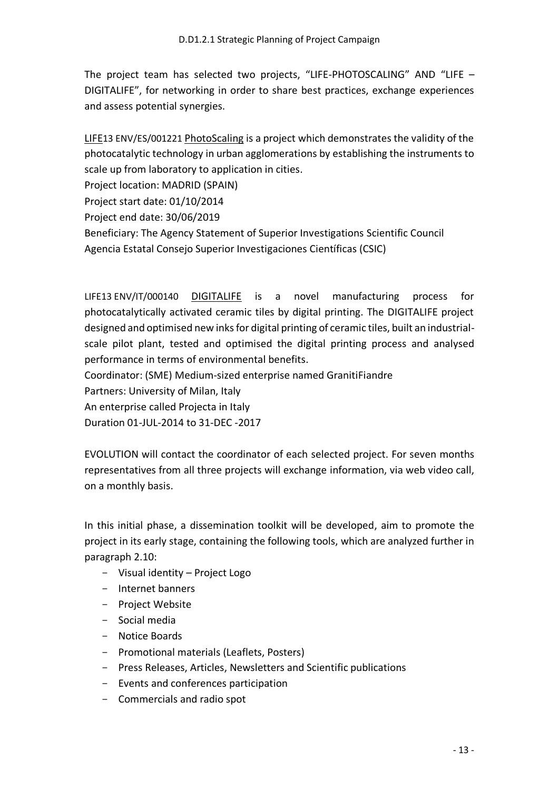The project team has selected two projects, "LIFE-PHOTOSCALING" AND "LIFE – DIGITALIFE", for networking in order to share best practices, exchange experiences and assess potential synergies.

LIFE13 ENV/ES/001221 PhotoScaling is a project which demonstrates the validity of the photocatalytic technology in urban agglomerations by establishing the instruments to scale up from laboratory to application in cities.

Project location: MADRID (SPAIN)

Project start date: 01/10/2014

Project end date: 30/06/2019

Beneficiary: The Agency Statement of Superior Investigations Scientific Council Agencia Estatal Consejo Superior Investigaciones Científicas (CSIC)

LIFE13 ENV/IT/000140 DIGITALIFE is a novel manufacturing process for photocatalytically activated ceramic tiles by digital printing. The DIGITALIFE project designed and optimised new inks for digital printing of ceramic tiles, built an industrialscale pilot plant, tested and optimised the digital printing process and analysed performance in terms of environmental benefits.

Coordinator: (SME) Medium-sized enterprise named GranitiFiandre

Partners: University of Milan, Italy

An enterprise called Projecta in Italy

Duration 01-JUL-2014 to 31-DEC -2017

EVOLUTION will contact the coordinator of each selected project. For seven months representatives from all three projects will exchange information, via web video call, on a monthly basis.

In this initial phase, a dissemination toolkit will be developed, aim to promote the project in its early stage, containing the following tools, which are analyzed further in paragraph 2.10:

- Visual identity Project Logo
- Internet banners
- Project Website
- Social media
- Notice Boards
- Promotional materials (Leaflets, Posters)
- Press Releases, Articles, Newsletters and Scientific publications
- Events and conferences participation
- Commercials and radio spot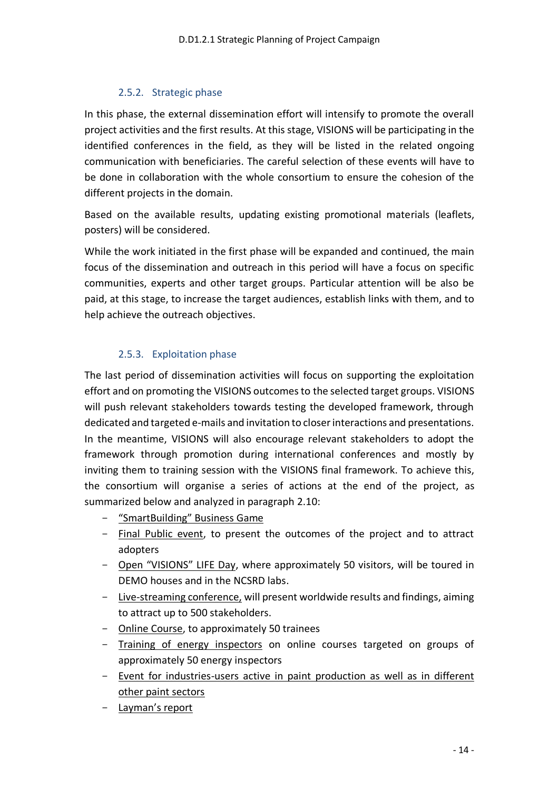#### 2.5.2. Strategic phase

<span id="page-13-0"></span>In this phase, the external dissemination effort will intensify to promote the overall project activities and the first results. At this stage, VISIONS will be participating in the identified conferences in the field, as they will be listed in the related ongoing communication with beneficiaries. The careful selection of these events will have to be done in collaboration with the whole consortium to ensure the cohesion of the different projects in the domain.

Based on the available results, updating existing promotional materials (leaflets, posters) will be considered.

While the work initiated in the first phase will be expanded and continued, the main focus of the dissemination and outreach in this period will have a focus on specific communities, experts and other target groups. Particular attention will be also be paid, at this stage, to increase the target audiences, establish links with them, and to help achieve the outreach objectives.

### 2.5.3. Exploitation phase

<span id="page-13-1"></span>The last period of dissemination activities will focus on supporting the exploitation effort and on promoting the VISIONS outcomes to the selected target groups. VISIONS will push relevant stakeholders towards testing the developed framework, through dedicated and targeted e‐mails and invitation to closer interactions and presentations. In the meantime, VISIONS will also encourage relevant stakeholders to adopt the framework through promotion during international conferences and mostly by inviting them to training session with the VISIONS final framework. To achieve this, the consortium will organise a series of actions at the end of the project, as summarized below and analyzed in paragraph 2.10:

- "SmartBuilding" Business Game
- Final Public event, to present the outcomes of the project and to attract adopters
- Open "VISIONS" LIFE Day, where approximately 50 visitors, will be toured in DEMO houses and in the NCSRD labs.
- Live-streaming conference, will present worldwide results and findings, aiming to attract up to 500 stakeholders.
- Online Course, to approximately 50 trainees
- Training of energy inspectors on online courses targeted on groups of approximately 50 energy inspectors
- Event for industries-users active in paint production as well as in different other paint sectors
- Layman's report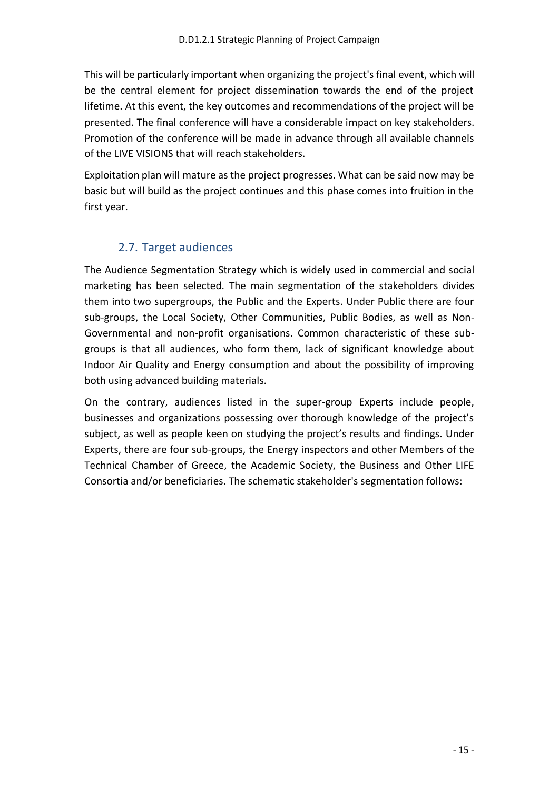This will be particularly important when organizing the project's final event, which will be the central element for project dissemination towards the end of the project lifetime. At this event, the key outcomes and recommendations of the project will be presented. The final conference will have a considerable impact on key stakeholders. Promotion of the conference will be made in advance through all available channels of the LIVE VISIONS that will reach stakeholders.

Exploitation plan will mature as the project progresses. What can be said now may be basic but will build as the project continues and this phase comes into fruition in the first year.

### 2.7. Target audiences

<span id="page-14-0"></span>The Audience Segmentation Strategy which is widely used in commercial and social marketing has been selected. The main segmentation of the stakeholders divides them into two supergroups, the Public and the Experts. Under Public there are four sub-groups, the Local Society, Other Communities, Public Bodies, as well as Non-Governmental and non-profit organisations. Common characteristic of these subgroups is that all audiences, who form them, lack of significant knowledge about Indoor Air Quality and Energy consumption and about the possibility of improving both using advanced building materials.

On the contrary, audiences listed in the super-group Experts include people, businesses and organizations possessing over thorough knowledge of the project's subject, as well as people keen on studying the project's results and findings. Under Experts, there are four sub-groups, the Energy inspectors and other Members of the Technical Chamber of Greece, the Academic Society, the Business and Other LIFE Consortia and/or beneficiaries. The schematic stakeholder's segmentation follows: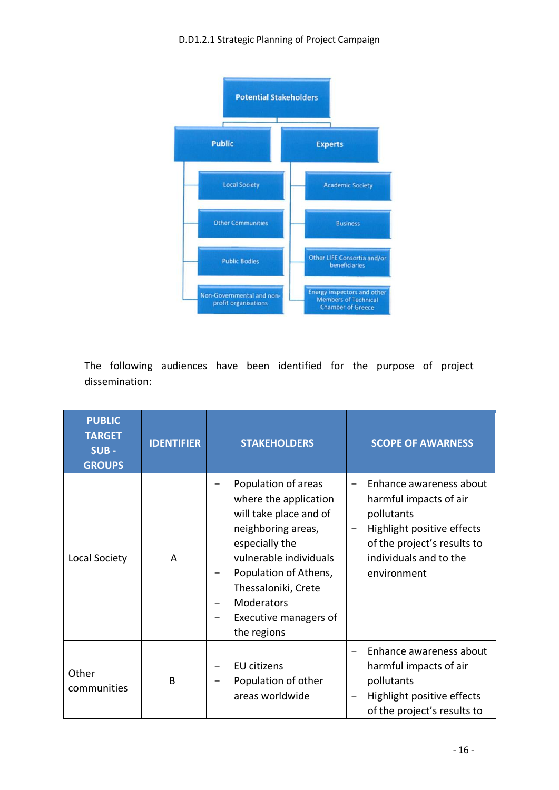#### D.D1.2.1 Strategic Planning of Project Campaign



The following audiences have been identified for the purpose of project dissemination:

| <b>PUBLIC</b><br><b>TARGET</b><br>SUB-<br><b>GROUPS</b> | <b>IDENTIFIER</b> | <b>STAKEHOLDERS</b>                                                                                                                                                                                                                            | <b>SCOPE OF AWARNESS</b>                                                                                                                                              |
|---------------------------------------------------------|-------------------|------------------------------------------------------------------------------------------------------------------------------------------------------------------------------------------------------------------------------------------------|-----------------------------------------------------------------------------------------------------------------------------------------------------------------------|
| Local Society                                           | A                 | Population of areas<br>where the application<br>will take place and of<br>neighboring areas,<br>especially the<br>vulnerable individuals<br>Population of Athens,<br>Thessaloniki, Crete<br>Moderators<br>Executive managers of<br>the regions | Enhance awareness about<br>harmful impacts of air<br>pollutants<br>Highlight positive effects<br>of the project's results to<br>individuals and to the<br>environment |
| Other<br>communities                                    | B                 | EU citizens<br>Population of other<br>areas worldwide                                                                                                                                                                                          | Enhance awareness about<br>harmful impacts of air<br>pollutants<br>Highlight positive effects<br>of the project's results to                                          |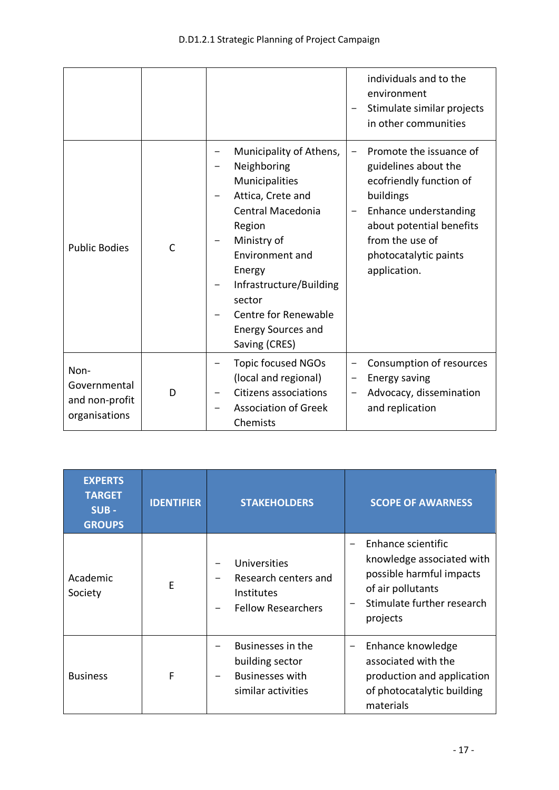|                                                         |   |                                                                                                                                                                                                                                                                     | individuals and to the<br>environment<br>Stimulate similar projects<br>in other communities                                                                                                              |
|---------------------------------------------------------|---|---------------------------------------------------------------------------------------------------------------------------------------------------------------------------------------------------------------------------------------------------------------------|----------------------------------------------------------------------------------------------------------------------------------------------------------------------------------------------------------|
| <b>Public Bodies</b>                                    | C | Municipality of Athens,<br>Neighboring<br>Municipalities<br>Attica, Crete and<br>Central Macedonia<br>Region<br>Ministry of<br>Environment and<br>Energy<br>Infrastructure/Building<br>sector<br>Centre for Renewable<br><b>Energy Sources and</b><br>Saving (CRES) | Promote the issuance of<br>guidelines about the<br>ecofriendly function of<br>buildings<br>Enhance understanding<br>about potential benefits<br>from the use of<br>photocatalytic paints<br>application. |
| Non-<br>Governmental<br>and non-profit<br>organisations | D | <b>Topic focused NGOs</b><br>(local and regional)<br>Citizens associations<br><b>Association of Greek</b><br>Chemists                                                                                                                                               | Consumption of resources<br><b>Energy saving</b><br>-<br>Advocacy, dissemination<br>and replication                                                                                                      |

| <b>EXPERTS</b><br><b>TARGET</b><br>SUB-<br><b>GROUPS</b> | <b>IDENTIFIER</b> | <b>STAKEHOLDERS</b>                                                                  | <b>SCOPE OF AWARNESS</b>                                                                                                                   |
|----------------------------------------------------------|-------------------|--------------------------------------------------------------------------------------|--------------------------------------------------------------------------------------------------------------------------------------------|
| Academic<br>Society                                      | E                 | Universities<br>Research centers and<br>Institutes<br><b>Fellow Researchers</b>      | Enhance scientific<br>knowledge associated with<br>possible harmful impacts<br>of air pollutants<br>Stimulate further research<br>projects |
| <b>Business</b>                                          | F                 | Businesses in the<br>building sector<br><b>Businesses with</b><br>similar activities | Enhance knowledge<br>associated with the<br>production and application<br>of photocatalytic building<br>materials                          |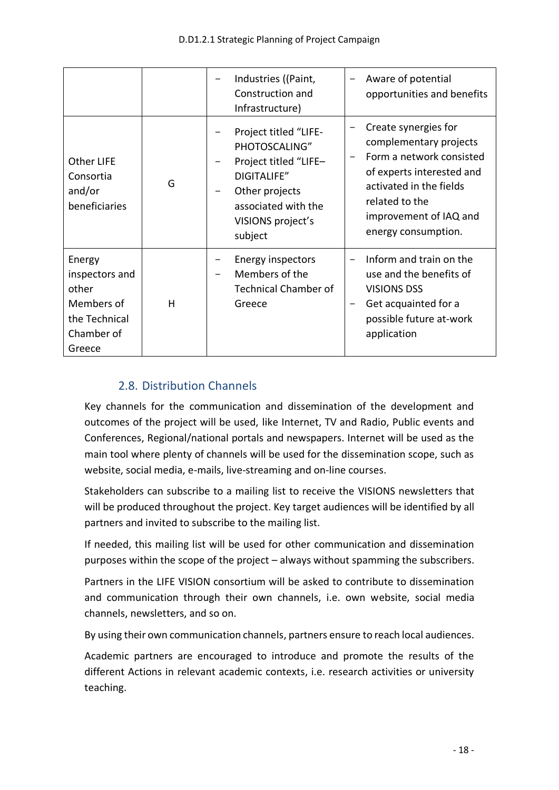|                                                                                          |   | Industries ((Paint,<br>Construction and<br>Infrastructure)                                                                                              | Aware of potential<br>opportunities and benefits                                                                                                                                                      |
|------------------------------------------------------------------------------------------|---|---------------------------------------------------------------------------------------------------------------------------------------------------------|-------------------------------------------------------------------------------------------------------------------------------------------------------------------------------------------------------|
| <b>Other LIFE</b><br>Consortia<br>and/or<br>beneficiaries                                | G | Project titled "LIFE-<br>PHOTOSCALING"<br>Project titled "LIFE-<br>DIGITALIFE"<br>Other projects<br>associated with the<br>VISIONS project's<br>subject | Create synergies for<br>complementary projects<br>Form a network consisted<br>of experts interested and<br>activated in the fields<br>related to the<br>improvement of IAQ and<br>energy consumption. |
| Energy<br>inspectors and<br>other<br>Members of<br>the Technical<br>Chamber of<br>Greece | н | <b>Energy inspectors</b><br>Members of the<br><b>Technical Chamber of</b><br>Greece                                                                     | Inform and train on the<br>$\overline{\phantom{0}}$<br>use and the benefits of<br><b>VISIONS DSS</b><br>Get acquainted for a<br>possible future at-work<br>application                                |

### 2.8. Distribution Channels

<span id="page-17-0"></span>Key channels for the communication and dissemination of the development and outcomes of the project will be used, like Internet, TV and Radio, Public events and Conferences, Regional/national portals and newspapers. Internet will be used as the main tool where plenty of channels will be used for the dissemination scope, such as website, social media, e-mails, live-streaming and on-line courses.

Stakeholders can subscribe to a mailing list to receive the VISIONS newsletters that will be produced throughout the project. Key target audiences will be identified by all partners and invited to subscribe to the mailing list.

If needed, this mailing list will be used for other communication and dissemination purposes within the scope of the project – always without spamming the subscribers.

Partners in the LIFE VISION consortium will be asked to contribute to dissemination and communication through their own channels, i.e. own website, social media channels, newsletters, and so on.

By using their own communication channels, partners ensure to reach local audiences.

Academic partners are encouraged to introduce and promote the results of the different Actions in relevant academic contexts, i.e. research activities or university teaching.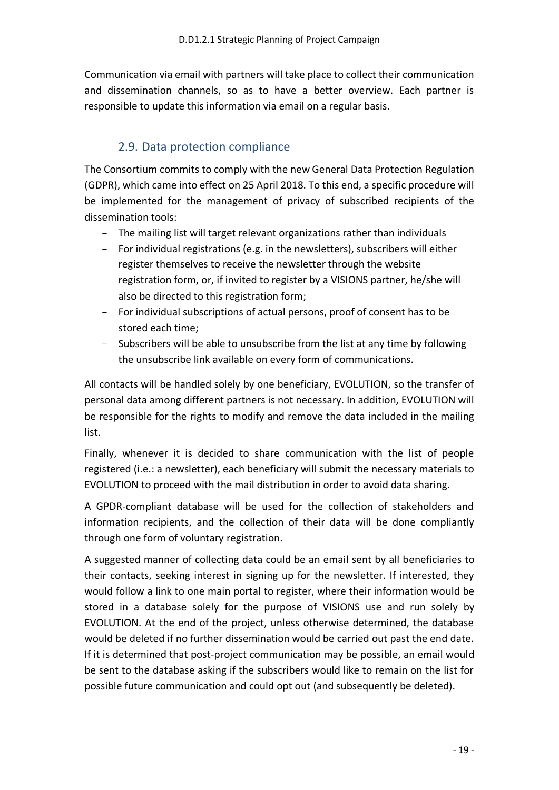Communication via email with partners will take place to collect their communication and dissemination channels, so as to have a better overview. Each partner is responsible to update this information via email on a regular basis.

### 2.9. Data protection compliance

<span id="page-18-0"></span>The Consortium commits to comply with the new General Data Protection Regulation (GDPR), which came into effect on 25 April 2018. To this end, a specific procedure will be implemented for the management of privacy of subscribed recipients of the dissemination tools:

- The mailing list will target relevant organizations rather than individuals
- For individual registrations (e.g. in the newsletters), subscribers will either register themselves to receive the newsletter through the website registration form, or, if invited to register by a VISIONS partner, he/she will also be directed to this registration form;
- For individual subscriptions of actual persons, proof of consent has to be stored each time;
- Subscribers will be able to unsubscribe from the list at any time by following the unsubscribe link available on every form of communications.

All contacts will be handled solely by one beneficiary, EVOLUTION, so the transfer of personal data among different partners is not necessary. In addition, EVOLUTION will be responsible for the rights to modify and remove the data included in the mailing list.

Finally, whenever it is decided to share communication with the list of people registered (i.e.: a newsletter), each beneficiary will submit the necessary materials to EVOLUTION to proceed with the mail distribution in order to avoid data sharing.

A GPDR‐compliant database will be used for the collection of stakeholders and information recipients, and the collection of their data will be done compliantly through one form of voluntary registration.

A suggested manner of collecting data could be an email sent by all beneficiaries to their contacts, seeking interest in signing up for the newsletter. If interested, they would follow a link to one main portal to register, where their information would be stored in a database solely for the purpose of VISIONS use and run solely by EVOLUTION. At the end of the project, unless otherwise determined, the database would be deleted if no further dissemination would be carried out past the end date. If it is determined that post-project communication may be possible, an email would be sent to the database asking if the subscribers would like to remain on the list for possible future communication and could opt out (and subsequently be deleted).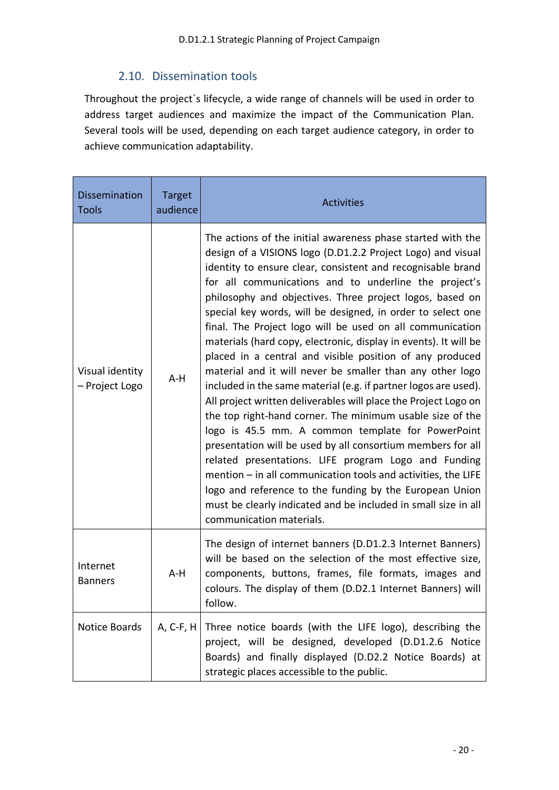### 2.10. Dissemination tools

<span id="page-19-0"></span>Throughout the project`s lifecycle, a wide range of channels will be used in order to address target audiences and maximize the impact of the Communication Plan. Several tools will be used, depending on each target audience category, in order to achieve communication adaptability.

| <b>Dissemination</b><br><b>Tools</b> | <b>Target</b><br>audience | <b>Activities</b>                                                                                                                                                                                                                                                                                                                                                                                                                                                                                                                                                                                                                                                                                                                                                                                                                                                                                                                                                                                                                                                                                                                                                                                                                                |
|--------------------------------------|---------------------------|--------------------------------------------------------------------------------------------------------------------------------------------------------------------------------------------------------------------------------------------------------------------------------------------------------------------------------------------------------------------------------------------------------------------------------------------------------------------------------------------------------------------------------------------------------------------------------------------------------------------------------------------------------------------------------------------------------------------------------------------------------------------------------------------------------------------------------------------------------------------------------------------------------------------------------------------------------------------------------------------------------------------------------------------------------------------------------------------------------------------------------------------------------------------------------------------------------------------------------------------------|
| Visual identity<br>- Project Logo    | $A-H$                     | The actions of the initial awareness phase started with the<br>design of a VISIONS logo (D.D1.2.2 Project Logo) and visual<br>identity to ensure clear, consistent and recognisable brand<br>for all communications and to underline the project's<br>philosophy and objectives. Three project logos, based on<br>special key words, will be designed, in order to select one<br>final. The Project logo will be used on all communication<br>materials (hard copy, electronic, display in events). It will be<br>placed in a central and visible position of any produced<br>material and it will never be smaller than any other logo<br>included in the same material (e.g. if partner logos are used).<br>All project written deliverables will place the Project Logo on<br>the top right-hand corner. The minimum usable size of the<br>logo is 45.5 mm. A common template for PowerPoint<br>presentation will be used by all consortium members for all<br>related presentations. LIFE program Logo and Funding<br>mention - in all communication tools and activities, the LIFE<br>logo and reference to the funding by the European Union<br>must be clearly indicated and be included in small size in all<br>communication materials. |
| Internet<br><b>Banners</b>           | $A-H$                     | The design of internet banners (D.D1.2.3 Internet Banners)<br>will be based on the selection of the most effective size,<br>components, buttons, frames, file formats, images and<br>colours. The display of them (D.D2.1 Internet Banners) will<br>follow.                                                                                                                                                                                                                                                                                                                                                                                                                                                                                                                                                                                                                                                                                                                                                                                                                                                                                                                                                                                      |
| Notice Boards                        | A, C-F, H                 | Three notice boards (with the LIFE logo), describing the<br>project, will be designed, developed (D.D1.2.6 Notice<br>Boards) and finally displayed (D.D2.2 Notice Boards) at<br>strategic places accessible to the public.                                                                                                                                                                                                                                                                                                                                                                                                                                                                                                                                                                                                                                                                                                                                                                                                                                                                                                                                                                                                                       |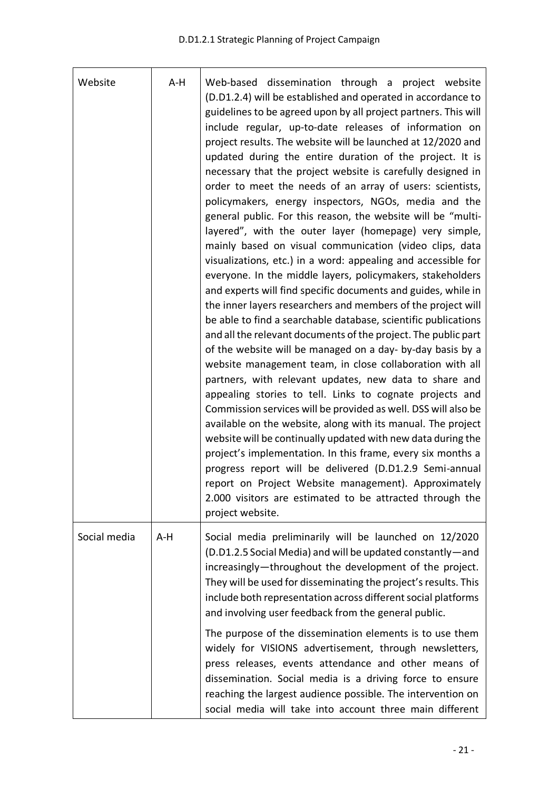| Website      | $A-H$ | Web-based dissemination through a project website<br>(D.D1.2.4) will be established and operated in accordance to<br>guidelines to be agreed upon by all project partners. This will<br>include regular, up-to-date releases of information on<br>project results. The website will be launched at 12/2020 and<br>updated during the entire duration of the project. It is<br>necessary that the project website is carefully designed in<br>order to meet the needs of an array of users: scientists,<br>policymakers, energy inspectors, NGOs, media and the<br>general public. For this reason, the website will be "multi-<br>layered", with the outer layer (homepage) very simple,<br>mainly based on visual communication (video clips, data<br>visualizations, etc.) in a word: appealing and accessible for<br>everyone. In the middle layers, policymakers, stakeholders<br>and experts will find specific documents and guides, while in<br>the inner layers researchers and members of the project will<br>be able to find a searchable database, scientific publications<br>and all the relevant documents of the project. The public part<br>of the website will be managed on a day- by-day basis by a<br>website management team, in close collaboration with all<br>partners, with relevant updates, new data to share and<br>appealing stories to tell. Links to cognate projects and<br>Commission services will be provided as well. DSS will also be<br>available on the website, along with its manual. The project<br>website will be continually updated with new data during the<br>project's implementation. In this frame, every six months a<br>progress report will be delivered (D.D1.2.9 Semi-annual<br>report on Project Website management). Approximately<br>2.000 visitors are estimated to be attracted through the<br>project website. |
|--------------|-------|-----------------------------------------------------------------------------------------------------------------------------------------------------------------------------------------------------------------------------------------------------------------------------------------------------------------------------------------------------------------------------------------------------------------------------------------------------------------------------------------------------------------------------------------------------------------------------------------------------------------------------------------------------------------------------------------------------------------------------------------------------------------------------------------------------------------------------------------------------------------------------------------------------------------------------------------------------------------------------------------------------------------------------------------------------------------------------------------------------------------------------------------------------------------------------------------------------------------------------------------------------------------------------------------------------------------------------------------------------------------------------------------------------------------------------------------------------------------------------------------------------------------------------------------------------------------------------------------------------------------------------------------------------------------------------------------------------------------------------------------------------------------------------------------------------------------------------------------------------------------------------|
| Social media | $A-H$ | Social media preliminarily will be launched on 12/2020<br>(D.D1.2.5 Social Media) and will be updated constantly-and<br>increasingly-throughout the development of the project.<br>They will be used for disseminating the project's results. This<br>include both representation across different social platforms<br>and involving user feedback from the general public.                                                                                                                                                                                                                                                                                                                                                                                                                                                                                                                                                                                                                                                                                                                                                                                                                                                                                                                                                                                                                                                                                                                                                                                                                                                                                                                                                                                                                                                                                                 |
|              |       | The purpose of the dissemination elements is to use them<br>widely for VISIONS advertisement, through newsletters,<br>press releases, events attendance and other means of<br>dissemination. Social media is a driving force to ensure<br>reaching the largest audience possible. The intervention on<br>social media will take into account three main different                                                                                                                                                                                                                                                                                                                                                                                                                                                                                                                                                                                                                                                                                                                                                                                                                                                                                                                                                                                                                                                                                                                                                                                                                                                                                                                                                                                                                                                                                                           |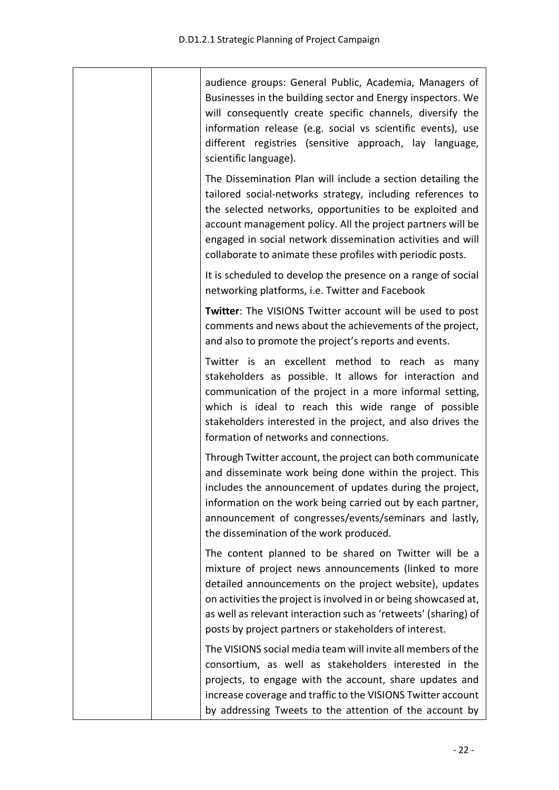| audience groups: General Public, Academia, Managers of<br>Businesses in the building sector and Energy inspectors. We<br>will consequently create specific channels, diversify the<br>information release (e.g. social vs scientific events), use<br>different registries (sensitive approach, lay language,<br>scientific language).                                             |
|-----------------------------------------------------------------------------------------------------------------------------------------------------------------------------------------------------------------------------------------------------------------------------------------------------------------------------------------------------------------------------------|
| The Dissemination Plan will include a section detailing the<br>tailored social-networks strategy, including references to<br>the selected networks, opportunities to be exploited and<br>account management policy. All the project partners will be<br>engaged in social network dissemination activities and will<br>collaborate to animate these profiles with periodic posts. |
| It is scheduled to develop the presence on a range of social<br>networking platforms, i.e. Twitter and Facebook                                                                                                                                                                                                                                                                   |
| Twitter: The VISIONS Twitter account will be used to post<br>comments and news about the achievements of the project,<br>and also to promote the project's reports and events.                                                                                                                                                                                                    |
| Twitter is an excellent method to reach as many<br>stakeholders as possible. It allows for interaction and<br>communication of the project in a more informal setting,<br>which is ideal to reach this wide range of possible<br>stakeholders interested in the project, and also drives the<br>formation of networks and connections.                                            |
| Through Twitter account, the project can both communicate<br>and disseminate work being done within the project. This<br>includes the announcement of updates during the project.<br>information on the work being carried out by each partner,<br>announcement of congresses/events/seminars and lastly,<br>the dissemination of the work produced.                              |
| The content planned to be shared on Twitter will be a<br>mixture of project news announcements (linked to more<br>detailed announcements on the project website), updates<br>on activities the project is involved in or being showcased at,<br>as well as relevant interaction such as 'retweets' (sharing) of<br>posts by project partners or stakeholders of interest.         |
| The VISIONS social media team will invite all members of the<br>consortium, as well as stakeholders interested in the<br>projects, to engage with the account, share updates and<br>increase coverage and traffic to the VISIONS Twitter account<br>by addressing Tweets to the attention of the account by                                                                       |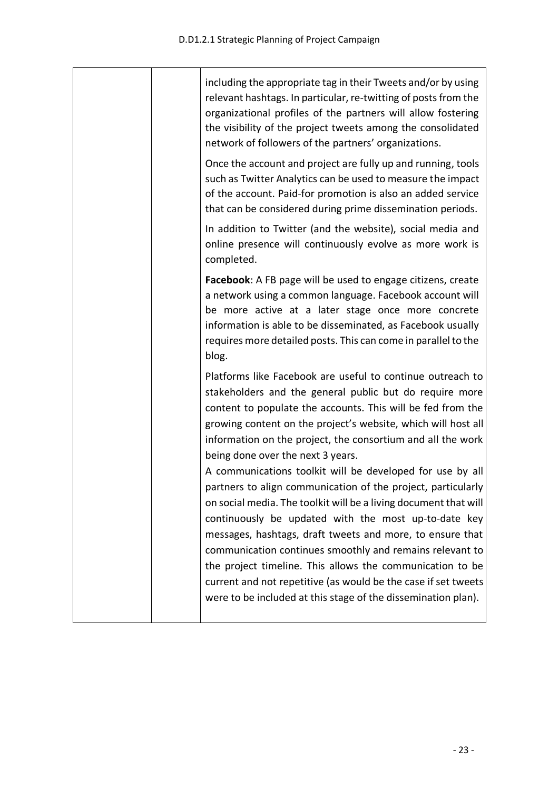|  | including the appropriate tag in their Tweets and/or by using<br>relevant hashtags. In particular, re-twitting of posts from the<br>organizational profiles of the partners will allow fostering<br>the visibility of the project tweets among the consolidated<br>network of followers of the partners' organizations.                                                                                                                                                                                                                                                                                                                                                                                                                                                                                                                                                                                                                     |
|--|---------------------------------------------------------------------------------------------------------------------------------------------------------------------------------------------------------------------------------------------------------------------------------------------------------------------------------------------------------------------------------------------------------------------------------------------------------------------------------------------------------------------------------------------------------------------------------------------------------------------------------------------------------------------------------------------------------------------------------------------------------------------------------------------------------------------------------------------------------------------------------------------------------------------------------------------|
|  | Once the account and project are fully up and running, tools<br>such as Twitter Analytics can be used to measure the impact<br>of the account. Paid-for promotion is also an added service<br>that can be considered during prime dissemination periods.                                                                                                                                                                                                                                                                                                                                                                                                                                                                                                                                                                                                                                                                                    |
|  | In addition to Twitter (and the website), social media and<br>online presence will continuously evolve as more work is<br>completed.                                                                                                                                                                                                                                                                                                                                                                                                                                                                                                                                                                                                                                                                                                                                                                                                        |
|  | Facebook: A FB page will be used to engage citizens, create<br>a network using a common language. Facebook account will<br>be more active at a later stage once more concrete<br>information is able to be disseminated, as Facebook usually<br>requires more detailed posts. This can come in parallel to the<br>blog.                                                                                                                                                                                                                                                                                                                                                                                                                                                                                                                                                                                                                     |
|  | Platforms like Facebook are useful to continue outreach to<br>stakeholders and the general public but do require more<br>content to populate the accounts. This will be fed from the<br>growing content on the project's website, which will host all<br>information on the project, the consortium and all the work<br>being done over the next 3 years.<br>A communications toolkit will be developed for use by all<br>partners to align communication of the project, particularly<br>on social media. The toolkit will be a living document that will<br>continuously be updated with the most up-to-date key<br>messages, hashtags, draft tweets and more, to ensure that<br>communication continues smoothly and remains relevant to<br>the project timeline. This allows the communication to be<br>current and not repetitive (as would be the case if set tweets<br>were to be included at this stage of the dissemination plan). |
|  |                                                                                                                                                                                                                                                                                                                                                                                                                                                                                                                                                                                                                                                                                                                                                                                                                                                                                                                                             |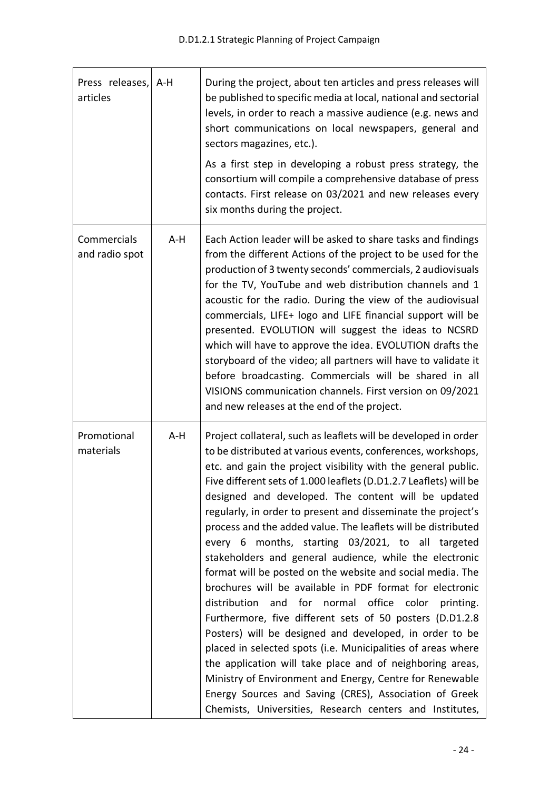| Press releases, A-H<br>articles |       | During the project, about ten articles and press releases will<br>be published to specific media at local, national and sectorial<br>levels, in order to reach a massive audience (e.g. news and<br>short communications on local newspapers, general and<br>sectors magazines, etc.).<br>As a first step in developing a robust press strategy, the<br>consortium will compile a comprehensive database of press<br>contacts. First release on 03/2021 and new releases every<br>six months during the project.                                                                                                                                                                                                                                                                                                                                                                                                                                                                                                                                                                                                                                                                                             |
|---------------------------------|-------|--------------------------------------------------------------------------------------------------------------------------------------------------------------------------------------------------------------------------------------------------------------------------------------------------------------------------------------------------------------------------------------------------------------------------------------------------------------------------------------------------------------------------------------------------------------------------------------------------------------------------------------------------------------------------------------------------------------------------------------------------------------------------------------------------------------------------------------------------------------------------------------------------------------------------------------------------------------------------------------------------------------------------------------------------------------------------------------------------------------------------------------------------------------------------------------------------------------|
| Commercials<br>and radio spot   | $A-H$ | Each Action leader will be asked to share tasks and findings<br>from the different Actions of the project to be used for the<br>production of 3 twenty seconds' commercials, 2 audiovisuals<br>for the TV, YouTube and web distribution channels and 1<br>acoustic for the radio. During the view of the audiovisual<br>commercials, LIFE+ logo and LIFE financial support will be<br>presented. EVOLUTION will suggest the ideas to NCSRD<br>which will have to approve the idea. EVOLUTION drafts the<br>storyboard of the video; all partners will have to validate it<br>before broadcasting. Commercials will be shared in all<br>VISIONS communication channels. First version on 09/2021<br>and new releases at the end of the project.                                                                                                                                                                                                                                                                                                                                                                                                                                                               |
| Promotional<br>materials        | A-H   | Project collateral, such as leaflets will be developed in order<br>to be distributed at various events, conferences, workshops,<br>etc. and gain the project visibility with the general public.<br>Five different sets of 1.000 leaflets (D.D1.2.7 Leaflets) will be<br>designed and developed. The content will be updated<br>regularly, in order to present and disseminate the project's<br>process and the added value. The leaflets will be distributed<br>every 6 months, starting 03/2021, to all targeted<br>stakeholders and general audience, while the electronic<br>format will be posted on the website and social media. The<br>brochures will be available in PDF format for electronic<br>distribution<br>and<br>for normal office color<br>printing.<br>Furthermore, five different sets of 50 posters (D.D1.2.8<br>Posters) will be designed and developed, in order to be<br>placed in selected spots (i.e. Municipalities of areas where<br>the application will take place and of neighboring areas,<br>Ministry of Environment and Energy, Centre for Renewable<br>Energy Sources and Saving (CRES), Association of Greek<br>Chemists, Universities, Research centers and Institutes, |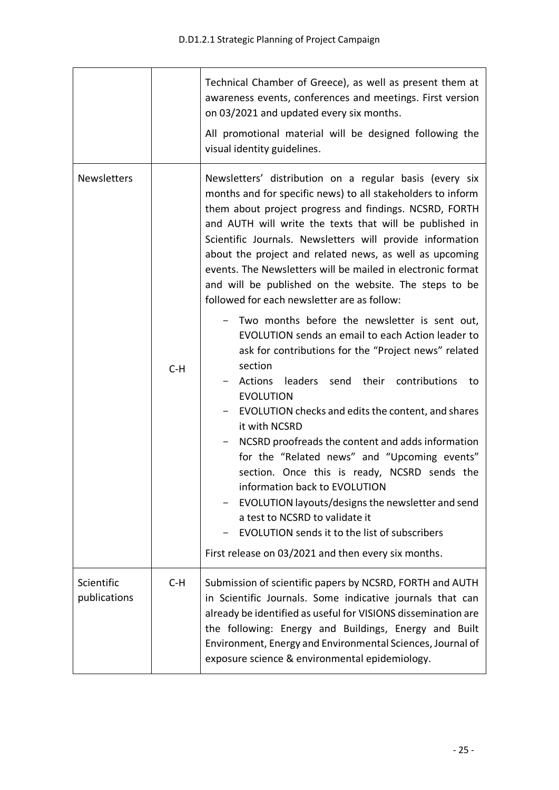|                            |       | Technical Chamber of Greece), as well as present them at<br>awareness events, conferences and meetings. First version<br>on 03/2021 and updated every six months.<br>All promotional material will be designed following the<br>visual identity guidelines.                                                                                                                                                                                                                                                                                                                                                                                                                                                       |  |  |  |  |  |  |  |
|----------------------------|-------|-------------------------------------------------------------------------------------------------------------------------------------------------------------------------------------------------------------------------------------------------------------------------------------------------------------------------------------------------------------------------------------------------------------------------------------------------------------------------------------------------------------------------------------------------------------------------------------------------------------------------------------------------------------------------------------------------------------------|--|--|--|--|--|--|--|
| <b>Newsletters</b>         |       | Newsletters' distribution on a regular basis (every six<br>months and for specific news) to all stakeholders to inform<br>them about project progress and findings. NCSRD, FORTH<br>and AUTH will write the texts that will be published in<br>Scientific Journals. Newsletters will provide information<br>about the project and related news, as well as upcoming<br>events. The Newsletters will be mailed in electronic format<br>and will be published on the website. The steps to be<br>followed for each newsletter are as follow:                                                                                                                                                                        |  |  |  |  |  |  |  |
|                            | $C-H$ | Two months before the newsletter is sent out,<br>EVOLUTION sends an email to each Action leader to<br>ask for contributions for the "Project news" related<br>section<br>Actions<br>leaders send their contributions<br>to<br><b>EVOLUTION</b><br>EVOLUTION checks and edits the content, and shares<br>it with NCSRD<br>NCSRD proofreads the content and adds information<br>for the "Related news" and "Upcoming events"<br>section. Once this is ready, NCSRD sends the<br>information back to EVOLUTION<br>EVOLUTION layouts/designs the newsletter and send<br>a test to NCSRD to validate it<br><b>EVOLUTION sends it to the list of subscribers</b><br>First release on 03/2021 and then every six months. |  |  |  |  |  |  |  |
| Scientific<br>publications | $C-H$ | Submission of scientific papers by NCSRD, FORTH and AUTH<br>in Scientific Journals. Some indicative journals that can<br>already be identified as useful for VISIONS dissemination are<br>the following: Energy and Buildings, Energy and Built<br>Environment, Energy and Environmental Sciences, Journal of<br>exposure science & environmental epidemiology.                                                                                                                                                                                                                                                                                                                                                   |  |  |  |  |  |  |  |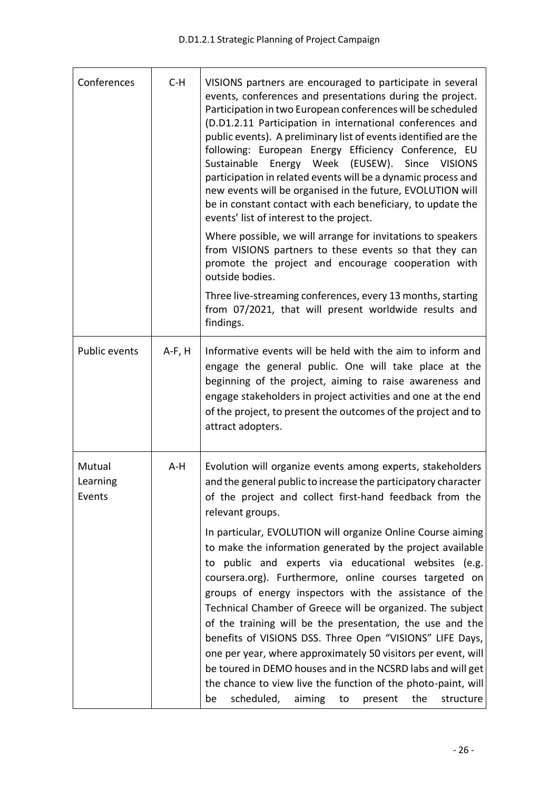| Conferences                  | $C-H$       | VISIONS partners are encouraged to participate in several<br>events, conferences and presentations during the project.<br>Participation in two European conferences will be scheduled<br>(D.D1.2.11 Participation in international conferences and<br>public events). A preliminary list of events identified are the<br>following: European Energy Efficiency Conference, EU<br>Sustainable Energy Week (EUSEW). Since VISIONS<br>participation in related events will be a dynamic process and<br>new events will be organised in the future, EVOLUTION will<br>be in constant contact with each beneficiary, to update the<br>events' list of interest to the project.<br>Where possible, we will arrange for invitations to speakers<br>from VISIONS partners to these events so that they can<br>promote the project and encourage cooperation with<br>outside bodies.<br>Three live-streaming conferences, every 13 months, starting<br>from 07/2021, that will present worldwide results and<br>findings. |
|------------------------------|-------------|------------------------------------------------------------------------------------------------------------------------------------------------------------------------------------------------------------------------------------------------------------------------------------------------------------------------------------------------------------------------------------------------------------------------------------------------------------------------------------------------------------------------------------------------------------------------------------------------------------------------------------------------------------------------------------------------------------------------------------------------------------------------------------------------------------------------------------------------------------------------------------------------------------------------------------------------------------------------------------------------------------------|
| Public events                | $A-F$ , $H$ | Informative events will be held with the aim to inform and<br>engage the general public. One will take place at the<br>beginning of the project, aiming to raise awareness and<br>engage stakeholders in project activities and one at the end<br>of the project, to present the outcomes of the project and to<br>attract adopters.                                                                                                                                                                                                                                                                                                                                                                                                                                                                                                                                                                                                                                                                             |
| Mutual<br>Learning<br>Events | $A-H$       | Evolution will organize events among experts, stakeholders<br>and the general public to increase the participatory character<br>of the project and collect first-hand feedback from the<br>relevant groups.<br>In particular, EVOLUTION will organize Online Course aiming<br>to make the information generated by the project available<br>to public and experts via educational websites (e.g.<br>coursera.org). Furthermore, online courses targeted on<br>groups of energy inspectors with the assistance of the<br>Technical Chamber of Greece will be organized. The subject<br>of the training will be the presentation, the use and the<br>benefits of VISIONS DSS. Three Open "VISIONS" LIFE Days,<br>one per year, where approximately 50 visitors per event, will<br>be toured in DEMO houses and in the NCSRD labs and will get<br>the chance to view live the function of the photo-paint, will<br>scheduled,<br>aiming<br>be<br>present<br>the<br>structure<br>to                                  |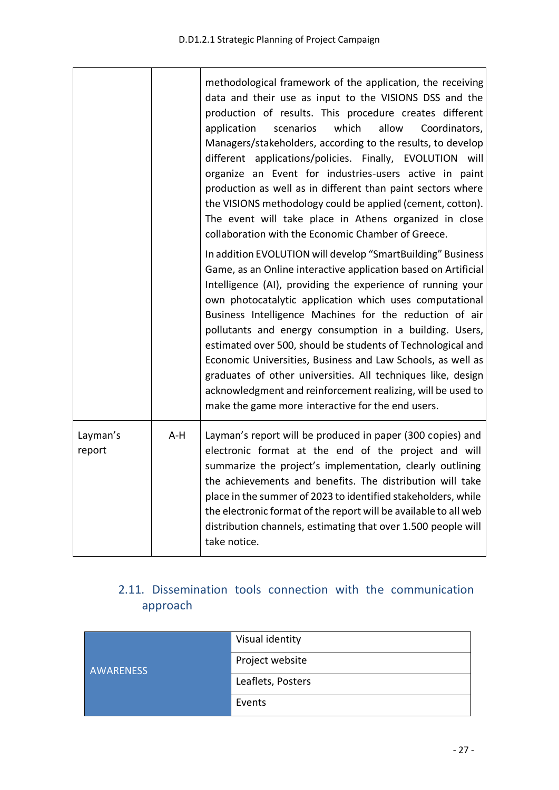|                    |       | methodological framework of the application, the receiving<br>data and their use as input to the VISIONS DSS and the<br>production of results. This procedure creates different<br>allow<br>application<br>which<br>Coordinators,<br>scenarios<br>Managers/stakeholders, according to the results, to develop<br>different applications/policies. Finally, EVOLUTION will<br>organize an Event for industries-users active in paint<br>production as well as in different than paint sectors where<br>the VISIONS methodology could be applied (cement, cotton).<br>The event will take place in Athens organized in close<br>collaboration with the Economic Chamber of Greece.<br>In addition EVOLUTION will develop "SmartBuilding" Business<br>Game, as an Online interactive application based on Artificial<br>Intelligence (AI), providing the experience of running your<br>own photocatalytic application which uses computational<br>Business Intelligence Machines for the reduction of air<br>pollutants and energy consumption in a building. Users,<br>estimated over 500, should be students of Technological and<br>Economic Universities, Business and Law Schools, as well as<br>graduates of other universities. All techniques like, design<br>acknowledgment and reinforcement realizing, will be used to<br>make the game more interactive for the end users. |
|--------------------|-------|-------------------------------------------------------------------------------------------------------------------------------------------------------------------------------------------------------------------------------------------------------------------------------------------------------------------------------------------------------------------------------------------------------------------------------------------------------------------------------------------------------------------------------------------------------------------------------------------------------------------------------------------------------------------------------------------------------------------------------------------------------------------------------------------------------------------------------------------------------------------------------------------------------------------------------------------------------------------------------------------------------------------------------------------------------------------------------------------------------------------------------------------------------------------------------------------------------------------------------------------------------------------------------------------------------------------------------------------------------------------------------------|
| Layman's<br>report | $A-H$ | Layman's report will be produced in paper (300 copies) and<br>electronic format at the end of the project and will<br>summarize the project's implementation, clearly outlining<br>the achievements and benefits. The distribution will take<br>place in the summer of 2023 to identified stakeholders, while<br>the electronic format of the report will be available to all web<br>distribution channels, estimating that over 1.500 people will<br>take notice.                                                                                                                                                                                                                                                                                                                                                                                                                                                                                                                                                                                                                                                                                                                                                                                                                                                                                                                  |

### <span id="page-26-0"></span>2.11. Dissemination tools connection with the communication approach

|                  | Visual identity   |
|------------------|-------------------|
| <b>AWARENESS</b> | Project website   |
|                  | Leaflets, Posters |
|                  | Events            |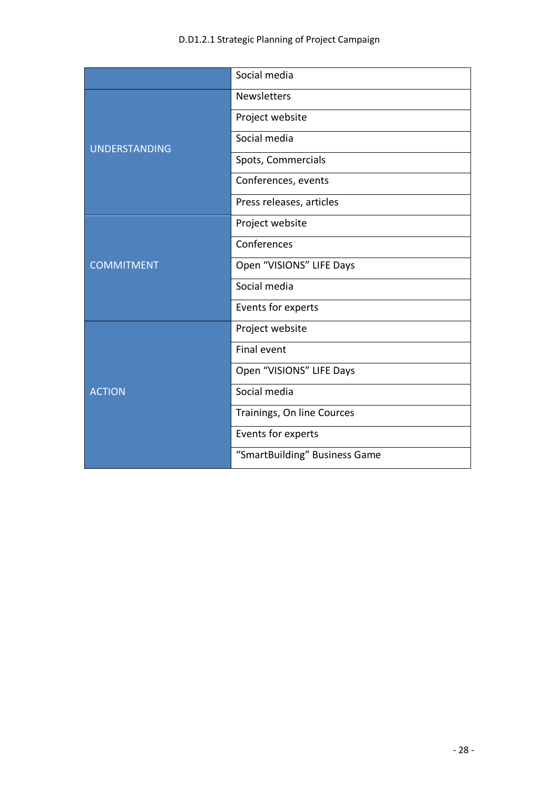|                      | Social media                  |
|----------------------|-------------------------------|
|                      | <b>Newsletters</b>            |
|                      | Project website               |
| <b>UNDERSTANDING</b> | Social media                  |
|                      | Spots, Commercials            |
|                      | Conferences, events           |
|                      | Press releases, articles      |
|                      | Project website               |
|                      | Conferences                   |
| <b>COMMITMENT</b>    | Open "VISIONS" LIFE Days      |
|                      | Social media                  |
|                      | Events for experts            |
|                      | Project website               |
|                      | <b>Final event</b>            |
|                      | Open "VISIONS" LIFE Days      |
| <b>ACTION</b>        | Social media                  |
|                      | Trainings, On line Cources    |
|                      | Events for experts            |
|                      | "SmartBuilding" Business Game |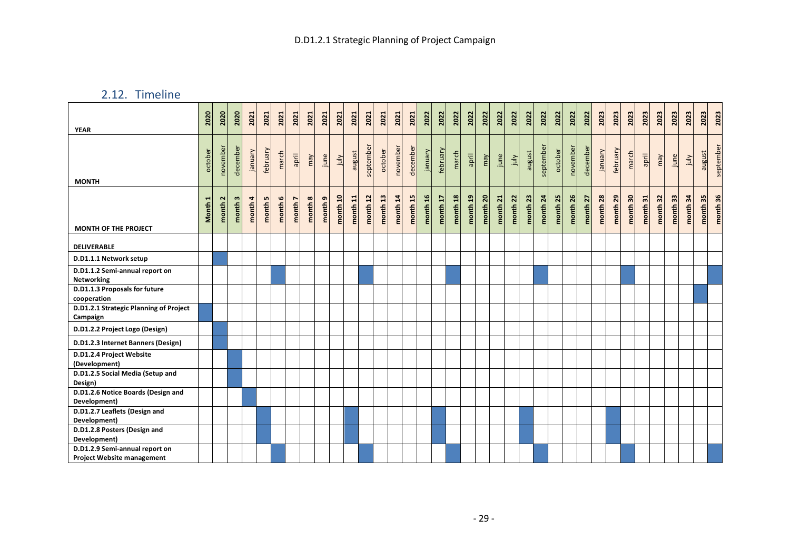#### <span id="page-28-0"></span>**YEAR 2020 2020 2020 2021 2021 2021 2021 2021 2021 2021 2021 2021 2021 2021 2021 2022 2022 2022 2022 2022 2022 2022 2022 2022 2022 2022 2022 2023 2023 2023 2023 2023 2023 2023 2023 2023 MONTH** october november december january february march april may june july august september october november december january february march april may june july august september october november december january february march april may june july august september **MONTH OF THE PROJECT Month 1 month 2 month 3 month 4 month 5 month 6 month 7 month 8 month 9 month 10 month 11 month 12 month 13 month 14 month 15 month 16 month 17 month 18 month 19 month 20 month 21 month 22 month 23 month 24 month 25 month 26 month 27 month 28 month 29 month 30 month 31 month 32 month 33 month 34 month 35 month 36 DELIVERABLE D.D1.1.1 Network setup D.D1.1.2 Semi-annual report on Networking D.D1.1.3 Proposals for future cooperation D.D1.2.1 Strategic Planning of Project Campaign D.D1.2.2 Project Logo (Design) D.D1.2.3 Internet Banners (Design) D.D1.2.4 Project Website (Development) D.D1.2.5 Social Media (Setup and Design) D.D1.2.6 Notice Boards (Design and Development) D.D1.2.7 Leaflets (Design and Development) D.D1.2.8 Posters (Design and Development) D.D1.2.9 Semi-annual report on Project Website management**

### 2.12. Timeline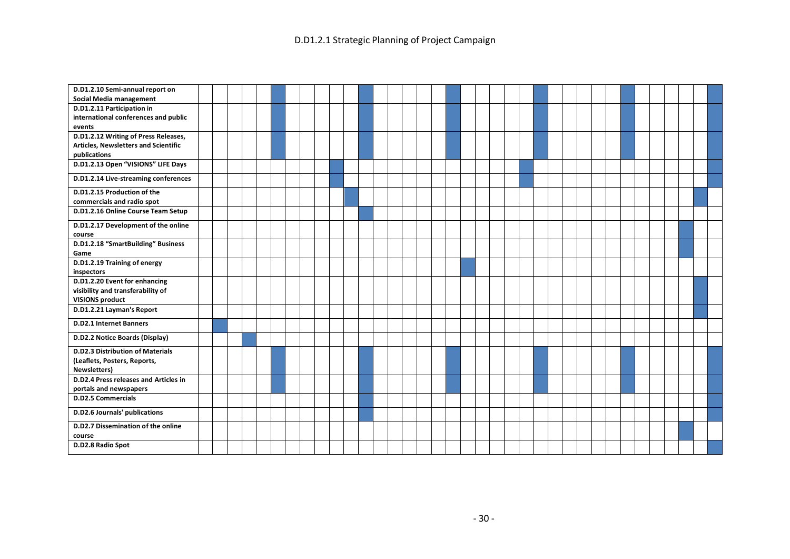| D.D1.2.10 Semi-annual report on             |  |  |  |  |  |  |  |  |  |  |  |  |  |  |  |  |  |  |
|---------------------------------------------|--|--|--|--|--|--|--|--|--|--|--|--|--|--|--|--|--|--|
| Social Media management                     |  |  |  |  |  |  |  |  |  |  |  |  |  |  |  |  |  |  |
| D.D1.2.11 Participation in                  |  |  |  |  |  |  |  |  |  |  |  |  |  |  |  |  |  |  |
| international conferences and public        |  |  |  |  |  |  |  |  |  |  |  |  |  |  |  |  |  |  |
| events                                      |  |  |  |  |  |  |  |  |  |  |  |  |  |  |  |  |  |  |
| D.D1.2.12 Writing of Press Releases,        |  |  |  |  |  |  |  |  |  |  |  |  |  |  |  |  |  |  |
| <b>Articles, Newsletters and Scientific</b> |  |  |  |  |  |  |  |  |  |  |  |  |  |  |  |  |  |  |
| publications                                |  |  |  |  |  |  |  |  |  |  |  |  |  |  |  |  |  |  |
| D.D1.2.13 Open "VISIONS" LIFE Days          |  |  |  |  |  |  |  |  |  |  |  |  |  |  |  |  |  |  |
| D.D1.2.14 Live-streaming conferences        |  |  |  |  |  |  |  |  |  |  |  |  |  |  |  |  |  |  |
| D.D1.2.15 Production of the                 |  |  |  |  |  |  |  |  |  |  |  |  |  |  |  |  |  |  |
| commercials and radio spot                  |  |  |  |  |  |  |  |  |  |  |  |  |  |  |  |  |  |  |
| D.D1.2.16 Online Course Team Setup          |  |  |  |  |  |  |  |  |  |  |  |  |  |  |  |  |  |  |
| D.D1.2.17 Development of the online         |  |  |  |  |  |  |  |  |  |  |  |  |  |  |  |  |  |  |
| course                                      |  |  |  |  |  |  |  |  |  |  |  |  |  |  |  |  |  |  |
| D.D1.2.18 "SmartBuilding" Business          |  |  |  |  |  |  |  |  |  |  |  |  |  |  |  |  |  |  |
| Game                                        |  |  |  |  |  |  |  |  |  |  |  |  |  |  |  |  |  |  |
| D.D1.2.19 Training of energy                |  |  |  |  |  |  |  |  |  |  |  |  |  |  |  |  |  |  |
| inspectors                                  |  |  |  |  |  |  |  |  |  |  |  |  |  |  |  |  |  |  |
| D.D1.2.20 Event for enhancing               |  |  |  |  |  |  |  |  |  |  |  |  |  |  |  |  |  |  |
| visibility and transferability of           |  |  |  |  |  |  |  |  |  |  |  |  |  |  |  |  |  |  |
| <b>VISIONS product</b>                      |  |  |  |  |  |  |  |  |  |  |  |  |  |  |  |  |  |  |
| D.D1.2.21 Layman's Report                   |  |  |  |  |  |  |  |  |  |  |  |  |  |  |  |  |  |  |
| <b>D.D2.1 Internet Banners</b>              |  |  |  |  |  |  |  |  |  |  |  |  |  |  |  |  |  |  |
| D.D2.2 Notice Boards (Display)              |  |  |  |  |  |  |  |  |  |  |  |  |  |  |  |  |  |  |
| <b>D.D2.3 Distribution of Materials</b>     |  |  |  |  |  |  |  |  |  |  |  |  |  |  |  |  |  |  |
| (Leaflets, Posters, Reports,                |  |  |  |  |  |  |  |  |  |  |  |  |  |  |  |  |  |  |
| <b>Newsletters)</b>                         |  |  |  |  |  |  |  |  |  |  |  |  |  |  |  |  |  |  |
| D.D2.4 Press releases and Articles in       |  |  |  |  |  |  |  |  |  |  |  |  |  |  |  |  |  |  |
| portals and newspapers                      |  |  |  |  |  |  |  |  |  |  |  |  |  |  |  |  |  |  |
| <b>D.D2.5 Commercials</b>                   |  |  |  |  |  |  |  |  |  |  |  |  |  |  |  |  |  |  |
| D.D2.6 Journals' publications               |  |  |  |  |  |  |  |  |  |  |  |  |  |  |  |  |  |  |
| D.D2.7 Dissemination of the online          |  |  |  |  |  |  |  |  |  |  |  |  |  |  |  |  |  |  |
| course                                      |  |  |  |  |  |  |  |  |  |  |  |  |  |  |  |  |  |  |
| D.D2.8 Radio Spot                           |  |  |  |  |  |  |  |  |  |  |  |  |  |  |  |  |  |  |
|                                             |  |  |  |  |  |  |  |  |  |  |  |  |  |  |  |  |  |  |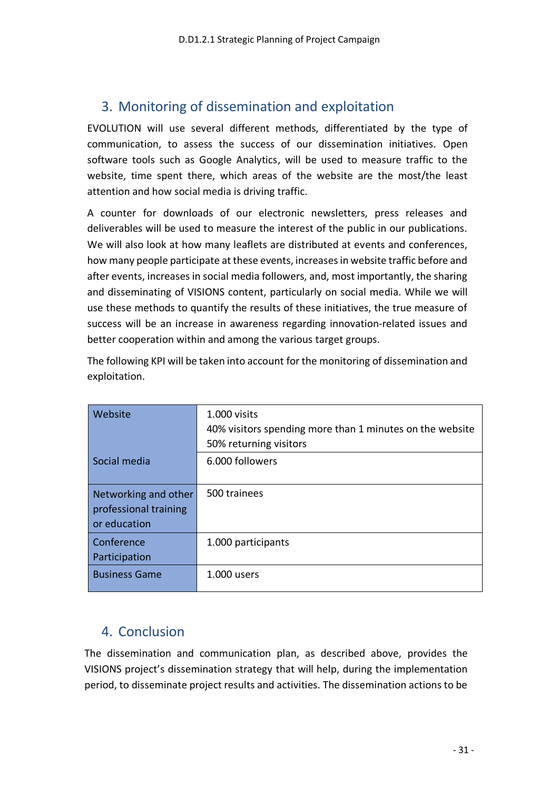# <span id="page-30-0"></span>3. Monitoring of dissemination and exploitation

EVOLUTION will use several different methods, differentiated by the type of communication, to assess the success of our dissemination initiatives. Open software tools such as Google Analytics, will be used to measure traffic to the website, time spent there, which areas of the website are the most/the least attention and how social media is driving traffic.

A counter for downloads of our electronic newsletters, press releases and deliverables will be used to measure the interest of the public in our publications. We will also look at how many leaflets are distributed at events and conferences, how many people participate at these events, increases in website traffic before and after events, increases in social media followers, and, most importantly, the sharing and disseminating of VISIONS content, particularly on social media. While we will use these methods to quantify the results of these initiatives, the true measure of success will be an increase in awareness regarding innovation‐related issues and better cooperation within and among the various target groups.

| Website               | 1.000 visits                                             |
|-----------------------|----------------------------------------------------------|
|                       | 40% visitors spending more than 1 minutes on the website |
|                       | 50% returning visitors                                   |
| Social media          | 6.000 followers                                          |
|                       |                                                          |
| Networking and other  | 500 trainees                                             |
| professional training |                                                          |
| or education          |                                                          |
| Conference            | 1.000 participants                                       |
| Participation         |                                                          |
| <b>Business Game</b>  | $1.000$ users                                            |
|                       |                                                          |

The following KPI will be taken into account for the monitoring of dissemination and exploitation.

## <span id="page-30-1"></span>4. Conclusion

The dissemination and communication plan, as described above, provides the VISIONS project's dissemination strategy that will help, during the implementation period, to disseminate project results and activities. The dissemination actions to be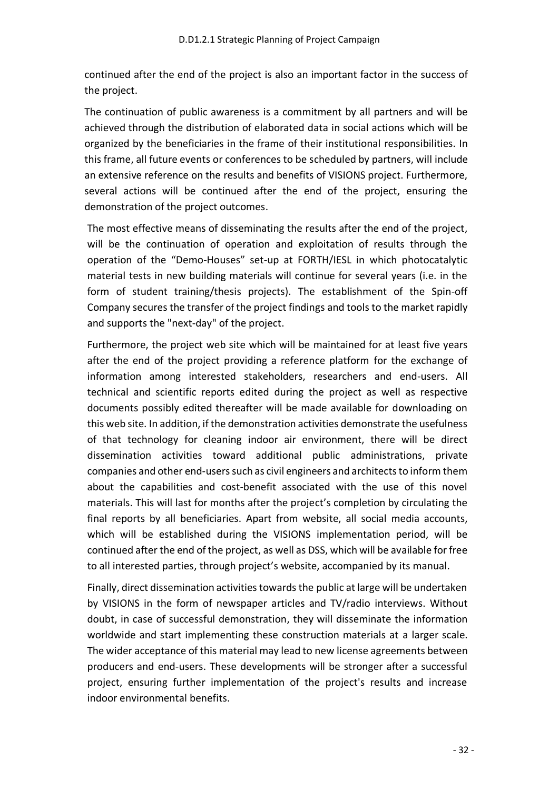continued after the end of the project is also an important factor in the success of the project.

The continuation of public awareness is a commitment by all partners and will be achieved through the distribution of elaborated data in social actions which will be organized by the beneficiaries in the frame of their institutional responsibilities. In this frame, all future events or conferences to be scheduled by partners, will include an extensive reference on the results and benefits of VISIONS project. Furthermore, several actions will be continued after the end of the project, ensuring the demonstration of the project outcomes.

The most effective means of disseminating the results after the end of the project, will be the continuation of operation and exploitation of results through the operation of the "Demo-Houses" set-up at FORTH/IESL in which photocatalytic material tests in new building materials will continue for several years (i.e. in the form of student training/thesis projects). The establishment of the Spin-off Company secures the transfer of the project findings and tools to the market rapidly and supports the "next-day" of the project.

Furthermore, the project web site which will be maintained for at least five years after the end of the project providing a reference platform for the exchange of information among interested stakeholders, researchers and end-users. All technical and scientific reports edited during the project as well as respective documents possibly edited thereafter will be made available for downloading on this web site. In addition, if the demonstration activities demonstrate the usefulness of that technology for cleaning indoor air environment, there will be direct dissemination activities toward additional public administrations, private companies and other end-users such as civil engineers and architects to inform them about the capabilities and cost-benefit associated with the use of this novel materials. This will last for months after the project's completion by circulating the final reports by all beneficiaries. Apart from website, all social media accounts, which will be established during the VISIONS implementation period, will be continued after the end of the project, as well as DSS, which will be available for free to all interested parties, through project's website, accompanied by its manual.

Finally, direct dissemination activities towards the public at large will be undertaken by VISIONS in the form of newspaper articles and TV/radio interviews. Without doubt, in case of successful demonstration, they will disseminate the information worldwide and start implementing these construction materials at a larger scale. The wider acceptance of this material may lead to new license agreements between producers and end-users. These developments will be stronger after a successful project, ensuring further implementation of the project's results and increase indoor environmental benefits.